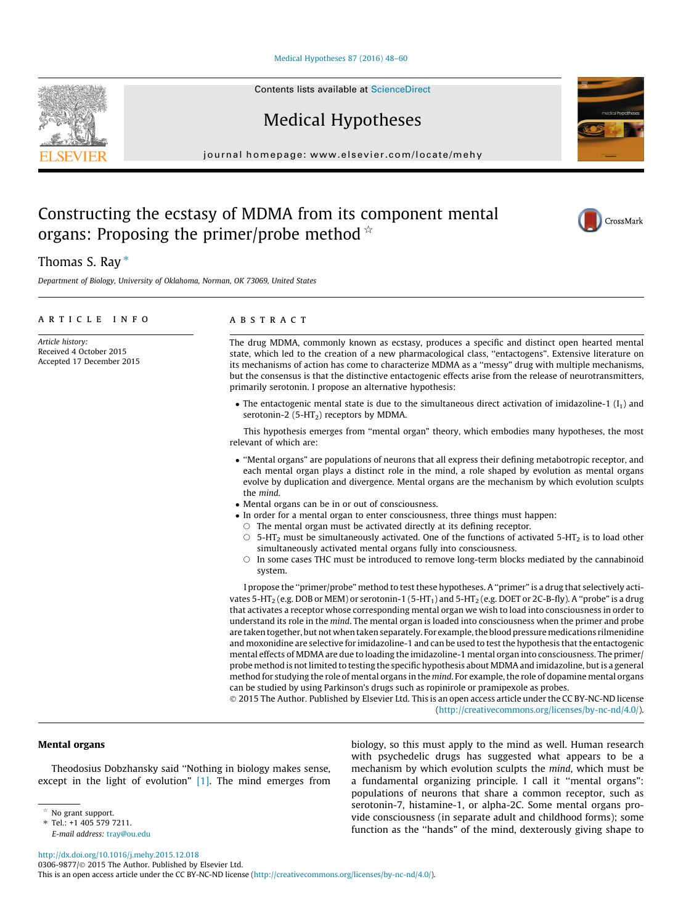[Medical Hypotheses 87 \(2016\) 48–60](http://dx.doi.org/10.1016/j.mehy.2015.12.018)

Medical Hypotheses

journal homepage: [www.elsevier.com/locate/mehy](http://www.elsevier.com/locate/mehy)

# Constructing the ecstasy of MDMA from its component mental organs: Proposing the primer/probe method  $\dot{\alpha}$

# Thomas S. Ray  $*$

Department of Biology, University of Oklahoma, Norman, OK 73069, United States

### article info

Article history: Received 4 October 2015 Accepted 17 December 2015

#### ABSTRACT

The drug MDMA, commonly known as ecstasy, produces a specific and distinct open hearted mental state, which led to the creation of a new pharmacological class, ''entactogens". Extensive literature on its mechanisms of action has come to characterize MDMA as a ''messy" drug with multiple mechanisms, but the consensus is that the distinctive entactogenic effects arise from the release of neurotransmitters, primarily serotonin. I propose an alternative hypothesis:

 $\bullet$  The entactogenic mental state is due to the simultaneous direct activation of imidazoline-1 (I<sub>1</sub>) and serotonin-2 (5-HT<sub>2</sub>) receptors by MDMA.

This hypothesis emerges from ''mental organ" theory, which embodies many hypotheses, the most relevant of which are:

- ''Mental organs" are populations of neurons that all express their defining metabotropic receptor, and each mental organ plays a distinct role in the mind, a role shaped by evolution as mental organs evolve by duplication and divergence. Mental organs are the mechanism by which evolution sculpts the mind.
- Mental organs can be in or out of consciousness.
- In order for a mental organ to enter consciousness, three things must happen:
	- $\circ$  The mental organ must be activated directly at its defining receptor.
	- $\circ$  5-HT<sub>2</sub> must be simultaneously activated. One of the functions of activated 5-HT<sub>2</sub> is to load other simultaneously activated mental organs fully into consciousness.
	- $\circ$  In some cases THC must be introduced to remove long-term blocks mediated by the cannabinoid system.

I propose the ''primer/probe" method to test these hypotheses. A ''primer" is a drug that selectively activates 5-HT<sub>2</sub> (e.g. DOB or MEM) or serotonin-1 (5-HT<sub>1</sub>) and 5-HT<sub>2</sub> (e.g. DOET or 2C-B-fly). A "probe" is a drug that activates a receptor whose corresponding mental organ we wish to load into consciousness in order to understand its role in the mind. The mental organ is loaded into consciousness when the primer and probe are taken together, but not when taken separately. For example, the blood pressure medications rilmenidine and moxonidine are selective for imidazoline-1 and can be used to test the hypothesis that the entactogenic mental effects of MDMA are due to loading the imidazoline-1 mental organ into consciousness. The primer/ probe method is not limited to testing the specific hypothesis about MDMA and imidazoline, but is a general method for studying the role of mental organs in the mind. For example, the role of dopamine mental organs can be studied by using Parkinson's drugs such as ropinirole or pramipexole as probes.

 2015 The Author. Published by Elsevier Ltd. This is an open access article under the CC BY-NC-ND license (<http://creativecommons.org/licenses/by-nc-nd/4.0/>).

> biology, so this must apply to the mind as well. Human research with psychedelic drugs has suggested what appears to be a mechanism by which evolution sculpts the mind, which must be a fundamental organizing principle. I call it ''mental organs": populations of neurons that share a common receptor, such as serotonin-7, histamine-1, or alpha-2C. Some mental organs provide consciousness (in separate adult and childhood forms); some function as the ''hands" of the mind, dexterously giving shape to

#### Mental organs

Theodosius Dobzhansky said ''Nothing in biology makes sense, except in the light of evolution" [\[1\].](#page-10-0) The mind emerges from

<http://dx.doi.org/10.1016/j.mehy.2015.12.018>

0306-9877/© 2015 The Author. Published by Elsevier Ltd.







No grant support.

<sup>⇑</sup> Tel.: +1 405 579 7211. E-mail address: [tray@ou.edu](mailto:tray@ou.edu)

This is an open access article under the CC BY-NC-ND license [\(http://creativecommons.org/licenses/by-nc-nd/4.0/](http://creativecommons.org/licenses/by-nc-nd/4.0/)).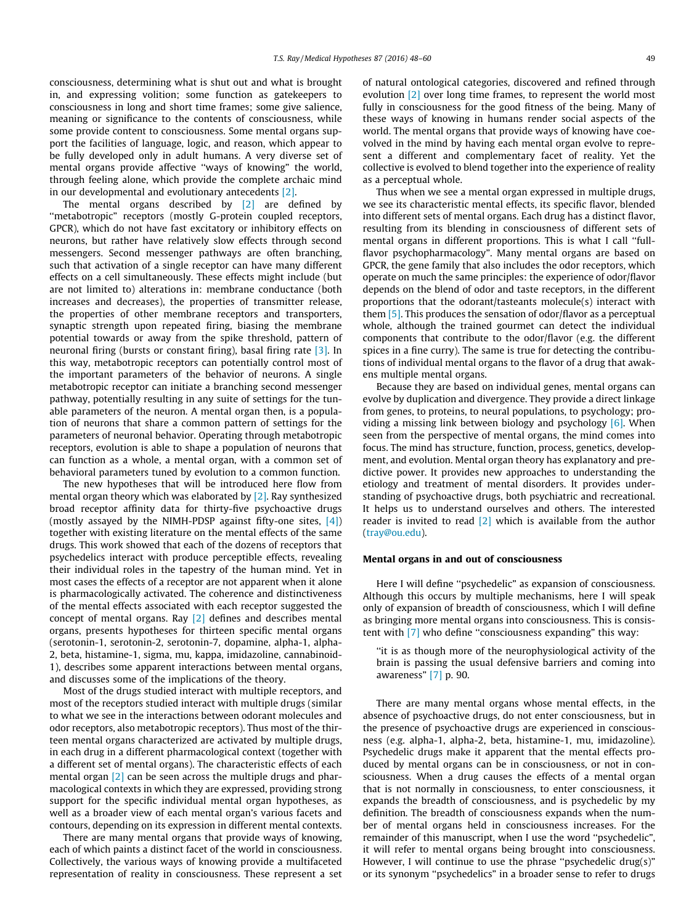consciousness, determining what is shut out and what is brought in, and expressing volition; some function as gatekeepers to consciousness in long and short time frames; some give salience, meaning or significance to the contents of consciousness, while some provide content to consciousness. Some mental organs support the facilities of language, logic, and reason, which appear to be fully developed only in adult humans. A very diverse set of mental organs provide affective ''ways of knowing" the world, through feeling alone, which provide the complete archaic mind in our developmental and evolutionary antecedents [\[2\].](#page-10-0)

The mental organs described by [\[2\]](#page-10-0) are defined by "metabotropic" receptors (mostly G-protein coupled receptors, GPCR), which do not have fast excitatory or inhibitory effects on neurons, but rather have relatively slow effects through second messengers. Second messenger pathways are often branching, such that activation of a single receptor can have many different effects on a cell simultaneously. These effects might include (but are not limited to) alterations in: membrane conductance (both increases and decreases), the properties of transmitter release, the properties of other membrane receptors and transporters, synaptic strength upon repeated firing, biasing the membrane potential towards or away from the spike threshold, pattern of neuronal firing (bursts or constant firing), basal firing rate [\[3\]](#page-10-0). In this way, metabotropic receptors can potentially control most of the important parameters of the behavior of neurons. A single metabotropic receptor can initiate a branching second messenger pathway, potentially resulting in any suite of settings for the tunable parameters of the neuron. A mental organ then, is a population of neurons that share a common pattern of settings for the parameters of neuronal behavior. Operating through metabotropic receptors, evolution is able to shape a population of neurons that can function as a whole, a mental organ, with a common set of behavioral parameters tuned by evolution to a common function.

The new hypotheses that will be introduced here flow from mental organ theory which was elaborated by [\[2\].](#page-10-0) Ray synthesized broad receptor affinity data for thirty-five psychoactive drugs (mostly assayed by the NIMH-PDSP against fifty-one sites, [\[4\]\)](#page-10-0) together with existing literature on the mental effects of the same drugs. This work showed that each of the dozens of receptors that psychedelics interact with produce perceptible effects, revealing their individual roles in the tapestry of the human mind. Yet in most cases the effects of a receptor are not apparent when it alone is pharmacologically activated. The coherence and distinctiveness of the mental effects associated with each receptor suggested the concept of mental organs. Ray [\[2\]](#page-10-0) defines and describes mental organs, presents hypotheses for thirteen specific mental organs (serotonin-1, serotonin-2, serotonin-7, dopamine, alpha-1, alpha-2, beta, histamine-1, sigma, mu, kappa, imidazoline, cannabinoid-1), describes some apparent interactions between mental organs, and discusses some of the implications of the theory.

Most of the drugs studied interact with multiple receptors, and most of the receptors studied interact with multiple drugs (similar to what we see in the interactions between odorant molecules and odor receptors, also metabotropic receptors). Thus most of the thirteen mental organs characterized are activated by multiple drugs, in each drug in a different pharmacological context (together with a different set of mental organs). The characteristic effects of each mental organ [\[2\]](#page-10-0) can be seen across the multiple drugs and pharmacological contexts in which they are expressed, providing strong support for the specific individual mental organ hypotheses, as well as a broader view of each mental organ's various facets and contours, depending on its expression in different mental contexts.

There are many mental organs that provide ways of knowing, each of which paints a distinct facet of the world in consciousness. Collectively, the various ways of knowing provide a multifaceted representation of reality in consciousness. These represent a set of natural ontological categories, discovered and refined through evolution [\[2\]](#page-10-0) over long time frames, to represent the world most fully in consciousness for the good fitness of the being. Many of these ways of knowing in humans render social aspects of the world. The mental organs that provide ways of knowing have coevolved in the mind by having each mental organ evolve to represent a different and complementary facet of reality. Yet the collective is evolved to blend together into the experience of reality as a perceptual whole.

Thus when we see a mental organ expressed in multiple drugs, we see its characteristic mental effects, its specific flavor, blended into different sets of mental organs. Each drug has a distinct flavor, resulting from its blending in consciousness of different sets of mental organs in different proportions. This is what I call ''fullflavor psychopharmacology". Many mental organs are based on GPCR, the gene family that also includes the odor receptors, which operate on much the same principles: the experience of odor/flavor depends on the blend of odor and taste receptors, in the different proportions that the odorant/tasteants molecule(s) interact with them [\[5\].](#page-10-0) This produces the sensation of odor/flavor as a perceptual whole, although the trained gourmet can detect the individual components that contribute to the odor/flavor (e.g. the different spices in a fine curry). The same is true for detecting the contributions of individual mental organs to the flavor of a drug that awakens multiple mental organs.

Because they are based on individual genes, mental organs can evolve by duplication and divergence. They provide a direct linkage from genes, to proteins, to neural populations, to psychology; providing a missing link between biology and psychology  $[6]$ . When seen from the perspective of mental organs, the mind comes into focus. The mind has structure, function, process, genetics, development, and evolution. Mental organ theory has explanatory and predictive power. It provides new approaches to understanding the etiology and treatment of mental disorders. It provides understanding of psychoactive drugs, both psychiatric and recreational. It helps us to understand ourselves and others. The interested reader is invited to read  $[2]$  which is available from the author ([tray@ou.edu\)](http://tray@ou.edu).

#### Mental organs in and out of consciousness

Here I will define ''psychedelic" as expansion of consciousness. Although this occurs by multiple mechanisms, here I will speak only of expansion of breadth of consciousness, which I will define as bringing more mental organs into consciousness. This is consistent with [\[7\]](#page-10-0) who define ''consciousness expanding" this way:

''it is as though more of the neurophysiological activity of the brain is passing the usual defensive barriers and coming into awareness" [\[7\]](#page-10-0) p. 90.

There are many mental organs whose mental effects, in the absence of psychoactive drugs, do not enter consciousness, but in the presence of psychoactive drugs are experienced in consciousness (e.g. alpha-1, alpha-2, beta, histamine-1, mu, imidazoline). Psychedelic drugs make it apparent that the mental effects produced by mental organs can be in consciousness, or not in consciousness. When a drug causes the effects of a mental organ that is not normally in consciousness, to enter consciousness, it expands the breadth of consciousness, and is psychedelic by my definition. The breadth of consciousness expands when the number of mental organs held in consciousness increases. For the remainder of this manuscript, when I use the word ''psychedelic", it will refer to mental organs being brought into consciousness. However, I will continue to use the phrase "psychedelic drug(s)" or its synonym ''psychedelics" in a broader sense to refer to drugs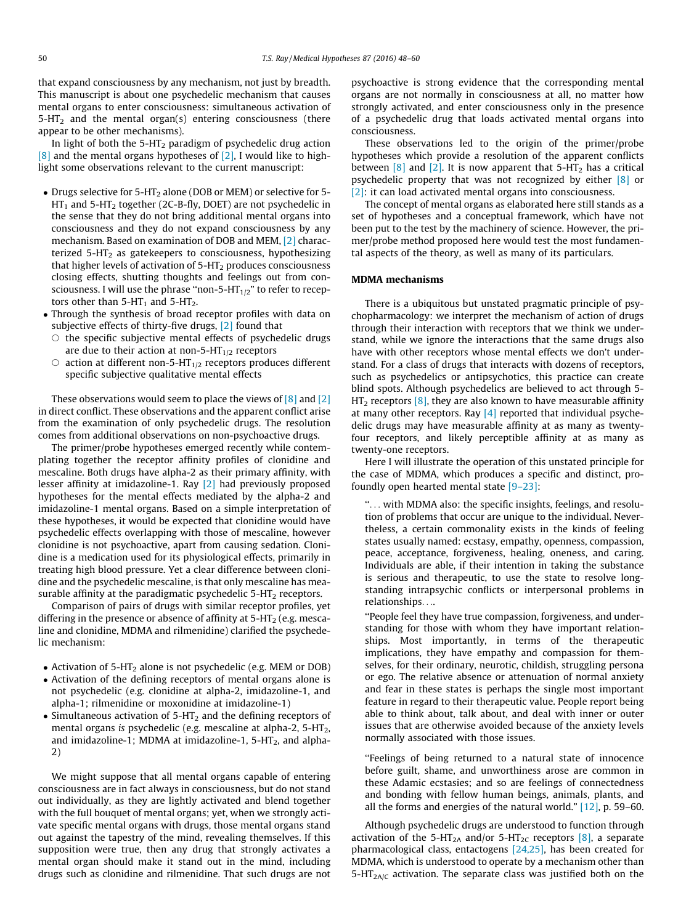that expand consciousness by any mechanism, not just by breadth. This manuscript is about one psychedelic mechanism that causes mental organs to enter consciousness: simultaneous activation of  $5-HT<sub>2</sub>$  and the mental organ(s) entering consciousness (there appear to be other mechanisms).

In light of both the  $5-HT_2$  paradigm of psychedelic drug action  $[8]$  and the mental organs hypotheses of  $[2]$ , I would like to highlight some observations relevant to the current manuscript:

- Drugs selective for  $5-HT_2$  alone (DOB or MEM) or selective for 5- $HT_1$  and 5-HT<sub>2</sub> together (2C-B-fly, DOET) are not psychedelic in the sense that they do not bring additional mental organs into consciousness and they do not expand consciousness by any mechanism. Based on examination of DOB and MEM, [\[2\]](#page-10-0) characterized  $5-HT<sub>2</sub>$  as gatekeepers to consciousness, hypothesizing that higher levels of activation of  $5-HT<sub>2</sub>$  produces consciousness closing effects, shutting thoughts and feelings out from consciousness. I will use the phrase "non-5-HT $_{1/2}$ " to refer to receptors other than  $5-HT_1$  and  $5-HT_2$ .
- Through the synthesis of broad receptor profiles with data on subjective effects of thirty-five drugs, [\[2\]](#page-10-0) found that
	- $\circ$  the specific subjective mental effects of psychedelic drugs are due to their action at non-5-HT $_{1/2}$  receptors
	- $\circ$  action at different non-5-HT<sub>1/2</sub> receptors produces different specific subjective qualitative mental effects

These observations would seem to place the views of  $[8]$  and  $[2]$ in direct conflict. These observations and the apparent conflict arise from the examination of only psychedelic drugs. The resolution comes from additional observations on non-psychoactive drugs.

The primer/probe hypotheses emerged recently while contemplating together the receptor affinity profiles of clonidine and mescaline. Both drugs have alpha-2 as their primary affinity, with lesser affinity at imidazoline-1. Ray [\[2\]](#page-10-0) had previously proposed hypotheses for the mental effects mediated by the alpha-2 and imidazoline-1 mental organs. Based on a simple interpretation of these hypotheses, it would be expected that clonidine would have psychedelic effects overlapping with those of mescaline, however clonidine is not psychoactive, apart from causing sedation. Clonidine is a medication used for its physiological effects, primarily in treating high blood pressure. Yet a clear difference between clonidine and the psychedelic mescaline, is that only mescaline has measurable affinity at the paradigmatic psychedelic  $5-HT<sub>2</sub>$  receptors.

Comparison of pairs of drugs with similar receptor profiles, yet differing in the presence or absence of affinity at  $5-HT<sub>2</sub>$  (e.g. mescaline and clonidine, MDMA and rilmenidine) clarified the psychedelic mechanism:

- Activation of  $5-HT_2$  alone is not psychedelic (e.g. MEM or DOB)
- Activation of the defining receptors of mental organs alone is not psychedelic (e.g. clonidine at alpha-2, imidazoline-1, and alpha-1; rilmenidine or moxonidine at imidazoline-1)
- $\bullet$  Simultaneous activation of 5-HT<sub>2</sub> and the defining receptors of mental organs is psychedelic (e.g. mescaline at alpha-2, 5-HT<sub>2</sub>, and imidazoline-1; MDMA at imidazoline-1, 5-HT<sub>2</sub>, and alpha-2)

We might suppose that all mental organs capable of entering consciousness are in fact always in consciousness, but do not stand out individually, as they are lightly activated and blend together with the full bouquet of mental organs; yet, when we strongly activate specific mental organs with drugs, those mental organs stand out against the tapestry of the mind, revealing themselves. If this supposition were true, then any drug that strongly activates a mental organ should make it stand out in the mind, including drugs such as clonidine and rilmenidine. That such drugs are not psychoactive is strong evidence that the corresponding mental organs are not normally in consciousness at all, no matter how strongly activated, and enter consciousness only in the presence of a psychedelic drug that loads activated mental organs into consciousness.

These observations led to the origin of the primer/probe hypotheses which provide a resolution of the apparent conflicts between  $\begin{bmatrix} 8 \end{bmatrix}$  and  $\begin{bmatrix} 2 \end{bmatrix}$ . It is now apparent that 5-HT<sub>2</sub> has a critical psychedelic property that was not recognized by either [\[8\]](#page-10-0) or [\[2\]](#page-10-0): it can load activated mental organs into consciousness.

The concept of mental organs as elaborated here still stands as a set of hypotheses and a conceptual framework, which have not been put to the test by the machinery of science. However, the primer/probe method proposed here would test the most fundamental aspects of the theory, as well as many of its particulars.

#### MDMA mechanisms

There is a ubiquitous but unstated pragmatic principle of psychopharmacology: we interpret the mechanism of action of drugs through their interaction with receptors that we think we understand, while we ignore the interactions that the same drugs also have with other receptors whose mental effects we don't understand. For a class of drugs that interacts with dozens of receptors, such as psychedelics or antipsychotics, this practice can create blind spots. Although psychedelics are believed to act through 5-  $HT_2$  receptors [\[8\]](#page-10-0), they are also known to have measurable affinity at many other receptors. Ray  $[4]$  reported that individual psychedelic drugs may have measurable affinity at as many as twentyfour receptors, and likely perceptible affinity at as many as twenty-one receptors.

Here I will illustrate the operation of this unstated principle for the case of MDMA, which produces a specific and distinct, profoundly open hearted mental state [\[9–23\]](#page-10-0):

''... with MDMA also: the specific insights, feelings, and resolution of problems that occur are unique to the individual. Nevertheless, a certain commonality exists in the kinds of feeling states usually named: ecstasy, empathy, openness, compassion, peace, acceptance, forgiveness, healing, oneness, and caring. Individuals are able, if their intention in taking the substance is serious and therapeutic, to use the state to resolve longstanding intrapsychic conflicts or interpersonal problems in relationships....

''People feel they have true compassion, forgiveness, and understanding for those with whom they have important relationships. Most importantly, in terms of the therapeutic implications, they have empathy and compassion for themselves, for their ordinary, neurotic, childish, struggling persona or ego. The relative absence or attenuation of normal anxiety and fear in these states is perhaps the single most important feature in regard to their therapeutic value. People report being able to think about, talk about, and deal with inner or outer issues that are otherwise avoided because of the anxiety levels normally associated with those issues.

''Feelings of being returned to a natural state of innocence before guilt, shame, and unworthiness arose are common in these Adamic ecstasies; and so are feelings of connectedness and bonding with fellow human beings, animals, plants, and all the forms and energies of the natural world." [\[12\],](#page-10-0) p. 59–60.

Although psychedelic drugs are understood to function through activation of the 5-HT<sub>2A</sub> and/or 5-HT<sub>2C</sub> receptors [\[8\]](#page-10-0), a separate pharmacological class, entactogens [\[24,25\],](#page-10-0) has been created for MDMA, which is understood to operate by a mechanism other than 5-HT<sub>2A/C</sub> activation. The separate class was justified both on the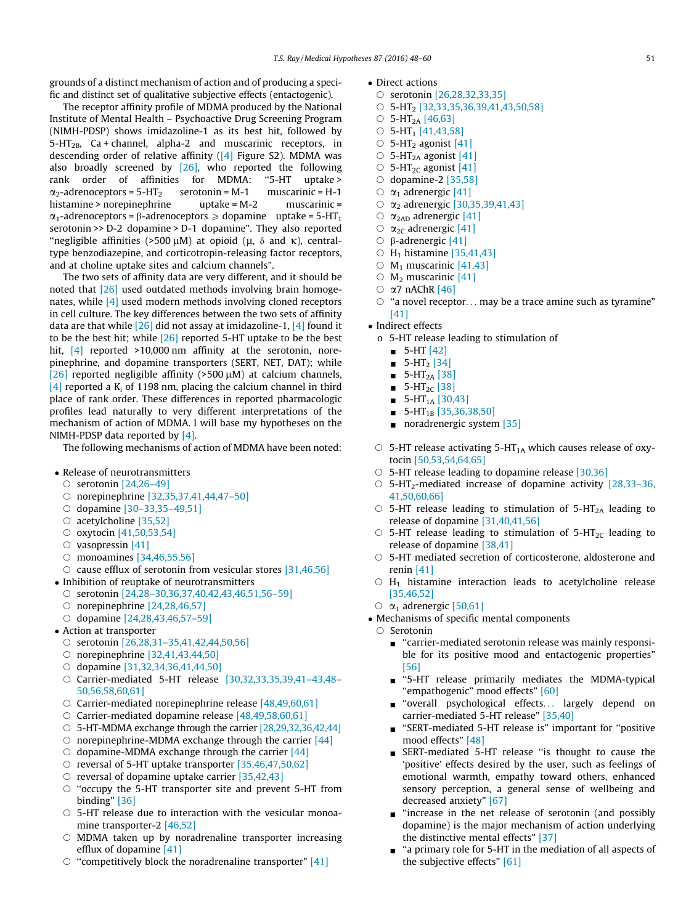grounds of a distinct mechanism of action and of producing a specific and distinct set of qualitative subjective effects (entactogenic).

The receptor affinity profile of MDMA produced by the National Institute of Mental Health – Psychoactive Drug Screening Program (NIMH-PDSP) shows imidazoline-1 as its best hit, followed by  $5-HT_{2B}$ , Ca + channel, alpha-2 and muscarinic receptors, in descending order of relative affinity [\(\[4\]](#page-10-0) Figure S2). MDMA was also broadly screened by  $[26]$ , who reported the following rank order of affinities for MDMA: ''5-HT uptake >  $\alpha_2$ -adrenoceptors = 5-HT<sub>2</sub> serotonin = M-1 muscarinic = H-1 histamine > norepinephrine uptake = M-2 muscarinic =  $\alpha_1$ -adrenoceptors =  $\beta$ -adrenoceptors  $\geq$  dopamine uptake = 5-HT<sub>1</sub> serotonin >> D-2 dopamine > D-1 dopamine". They also reported "negligible affinities (>500  $\mu$ M) at opioid ( $\mu$ ,  $\delta$  and  $\kappa$ ), centraltype benzodiazepine, and corticotropin-releasing factor receptors, and at choline uptake sites and calcium channels".

The two sets of affinity data are very different, and it should be noted that [\[26\]](#page-10-0) used outdated methods involving brain homogenates, while [\[4\]](#page-10-0) used modern methods involving cloned receptors in cell culture. The key differences between the two sets of affinity data are that while  $[26]$  did not assay at imidazoline-1,  $[4]$  found it to be the best hit; while [\[26\]](#page-10-0) reported 5-HT uptake to be the best hit, [\[4\]](#page-10-0) reported >10,000 nm affinity at the serotonin, norepinephrine, and dopamine transporters (SERT, NET, DAT); while [\[26\]](#page-10-0) reported negligible affinity ( $>500 \mu$ M) at calcium channels,  $[4]$  reported a K<sub>i</sub> of 1198 nm, placing the calcium channel in third place of rank order. These differences in reported pharmacologic profiles lead naturally to very different interpretations of the mechanism of action of MDMA. I will base my hypotheses on the NIMH-PDSP data reported by [\[4\]](#page-10-0).

The following mechanisms of action of MDMA have been noted:

- Release of neurotransmitters
	- $\circ$  serotonin [24,26-49]
	- O norepinephrine [32,35,37,41,44,47-50]
	- $\circ$  dopamine [\[30–33,35–49,51\]](#page-10-0)
	- $\circ$  acetylcholine [\[35,52\]](#page-10-0)
	- $\circ$  oxytocin [\[41,50,53,54\]](#page-10-0)
	- $\circ$  vasopressin [\[41\]](#page-10-0)
	- $\circ$  monoamines [\[34,46,55,56\]](#page-10-0)
	- $\circ$  cause efflux of serotonin from vesicular stores [\[31,46,56\]](#page-10-0)
- Inhibition of reuptake of neurotransmitters
	- $\circ$  serotonin [24,28-30,36,37,40,42,43,46,51,56-59]
	- $\circ$  norepinephrine [\[24,28,46,57\]](#page-10-0)
	- $\circ$  dopamine [24,28,43,46,57-59]
- Action at transporter
- $\circ$  serotonin [26,28,31-35,41,42,44,50,56]
- $\circ$  norepinephrine [\[32,41,43,44,50\]](#page-10-0)
- $\circ$  dopamine [\[31,32,34,36,41,44,50\]](#page-10-0)
- $\circ$  Carrier-mediated 5-HT release [30,32,33,35,39,41-43,48-[50,56,58,60,61\]](#page-10-0)
- $\circ$  Carrier-mediated norepinephrine release [\[48,49,60,61\]](#page-10-0)
- $\circ$  Carrier-mediated dopamine release [\[48,49,58,60,61\]](#page-10-0)
- $\circ$  5-HT-MDMA exchange through the carrier [\[28,29,32,36,42,44\]](#page-10-0)
- $\circ$  norepinephrine-MDMA exchange through the carrier [\[44\]](#page-10-0)
- $\circ$  dopamine-MDMA exchange through the carrier [\[44\]](#page-10-0)
- $\circ$  reversal of 5-HT uptake transporter [\[35,46,47,50,62\]](#page-10-0)
- $\circ$  reversal of dopamine uptake carrier [\[35,42,43\]](#page-10-0)
- $\circ$  "occupy the 5-HT transporter site and prevent 5-HT from binding" [\[36\]](#page-10-0)
- $\circ$  5-HT release due to interaction with the vesicular monoamine transporter-2 [\[46,52\]](#page-10-0)
- $\circ$  MDMA taken up by noradrenaline transporter increasing efflux of dopamine [\[41\]](#page-10-0)
- $\circ$  "competitively block the noradrenaline transporter" [\[41\]](#page-10-0)
- Direct actions
- serotonin [\[26,28,32,33,35\]](#page-10-0)
- $O$  5-HT<sub>2</sub> [\[32,33,35,36,39,41,43,50,58\]](#page-10-0)
- $O$  5-HT<sub>2A</sub> [\[46,63\]](#page-10-0)
- $O$  5-HT<sub>1</sub> [\[41,43,58\]](#page-10-0)
- $\circ$  5-HT<sub>2</sub> agonist [\[41\]](#page-10-0)
- $\circ$  5-HT<sub>2A</sub> agonist [\[41\]](#page-10-0)
- $\circ$  5-HT<sub>2C</sub> agonist [\[41\]](#page-10-0)
- $\circ$  dopamine-2 [\[35,58\]](#page-10-0)
- $\circ$   $\alpha_1$  adrenergic [\[41\]](#page-10-0)
- $\circ$   $\alpha_2$  adrenergic [\[30,35,39,41,43\]](#page-10-0)
- $\circ$   $\alpha_{2AD}$  adrenergic [\[41\]](#page-10-0)
- $\circ$   $\alpha_{2c}$  adrenergic [\[41\]](#page-10-0)<br> $\circ$  B-adrenergic [41]
- $\beta$ -adrenergic [\[41\]](#page-10-0)
- $\circ$  H<sub>1</sub> histamine [\[35,41,43\]](#page-10-0)
- $\circ$  M<sub>1</sub> muscarinic [\[41,43\]](#page-10-0)
- $\circ$  M<sub>2</sub> muscarinic [\[41\]](#page-10-0)
- $\circ$   $\alpha$ 7 nAChR [\[46\]](#page-10-0)
- $\circ$  "a novel receptor... may be a trace amine such as tyramine" [\[41\]](#page-10-0)
- Indirect effects
	- o 5-HT release leading to stimulation of
		- $\blacksquare$  5-HT [\[42\]](#page-10-0)
		- $\blacksquare$  5-HT<sub>2</sub> [\[34\]](#page-10-0)
		- $5-HT_{2A}$  [\[38\]](#page-10-0)
		- $\blacksquare$  5-HT<sub>2C</sub> [\[38\]](#page-10-0)
		- $5-HT_{1A}$  [\[30,43\]](#page-10-0)
		- 5-HT<sub>1B</sub> [\[35,36,38,50\]](#page-10-0)
		- $\blacksquare$  noradrenergic system [\[35\]](#page-10-0)
	- $\circ$  5-HT release activating 5-HT<sub>1A</sub> which causes release of oxytocin [\[50,53,54,64,65\]](#page-10-0)
- $\circ$  5-HT release leading to dopamine release [\[30,36\]](#page-10-0)
- $\circ$  5-HT<sub>2</sub>-mediated increase of dopamine activity [28,33-36, [41,50,60,66\]](#page-10-0)
- $\circ$  5-HT release leading to stimulation of 5-HT<sub>2A</sub> leading to release of dopamine [\[31,40,41,56\]](#page-10-0)
- $\circ$  5-HT release leading to stimulation of 5-HT<sub>2C</sub> leading to release of dopamine [\[38,41\]](#page-10-0)
- $\circ$  5-HT mediated secretion of corticosterone, aldosterone and renin [\[41\]](#page-10-0)
- $\circ$  H<sub>1</sub> histamine interaction leads to acetylcholine release [\[35,46,52\]](#page-10-0)
- $\circ$   $\alpha_1$  adrenergic [\[50,61\]](#page-10-0)
- Mechanisms of specific mental components
	- $\circ$  Serotonin
		- **EX** "carrier-mediated serotonin release was mainly responsible for its positive mood and entactogenic properties" [\[56\]](#page-11-0)
		- & ''5-HT release primarily mediates the MDMA-typical "empathogenic" mood effects" [\[60\]](#page-11-0)
		- & ''overall psychological effects... largely depend on carrier-mediated 5-HT release" [\[35,40\]](#page-10-0)
		- & ''SERT-mediated 5-HT release is" important for ''positive mood effects" [\[48\]](#page-10-0)
		- & SERT-mediated 5-HT release ''is thought to cause the 'positive' effects desired by the user, such as feelings of emotional warmth, empathy toward others, enhanced sensory perception, a general sense of wellbeing and decreased anxiety" [\[67\]](#page-11-0)
		- $\blacksquare$  "increase in the net release of serotonin (and possibly dopamine) is the major mechanism of action underlying the distinctive mental effects" [\[37\]](#page-10-0)
		- "a primary role for 5-HT in the mediation of all aspects of the subjective effects" [\[61\]](#page-11-0)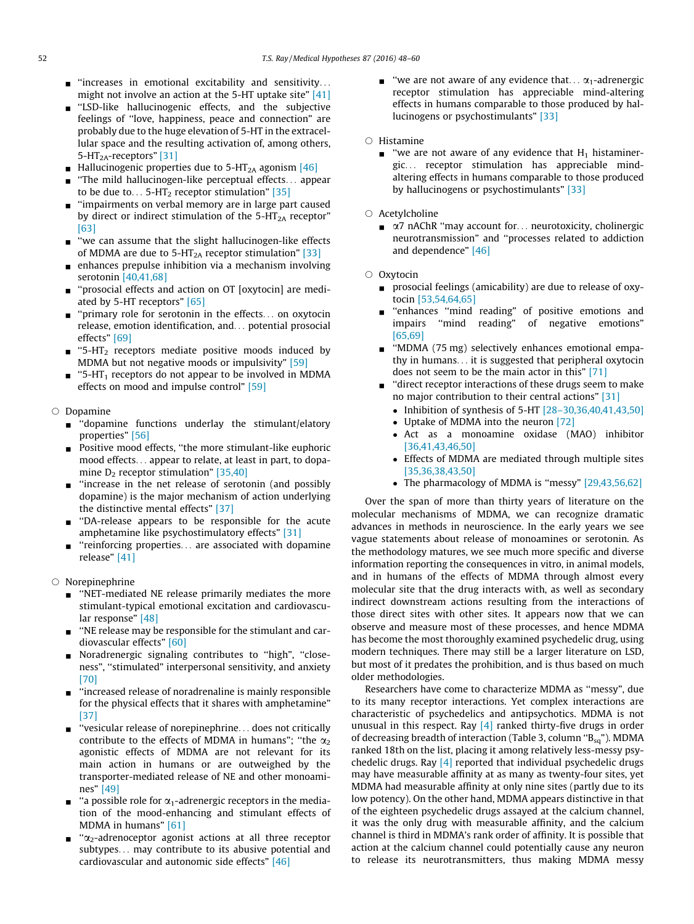- $\blacksquare$  "increases in emotional excitability and sensitivity... might not involve an action at the 5-HT uptake site" [\[41\]](#page-10-0)
- & ''LSD-like hallucinogenic effects, and the subjective feelings of ''love, happiness, peace and connection" are probably due to the huge elevation of 5-HT in the extracellular space and the resulting activation of, among others, 5-HT<sub>2A</sub>-receptors" [\[31\]](#page-10-0)
- **Hallucinogenic properties due to 5-HT<sub>2A</sub> agonism** [\[46\]](#page-10-0)
- $\blacksquare$  "The mild hallucinogen-like perceptual effects... appear to be due to...  $5-HT_2$  receptor stimulation" [\[35\]](#page-10-0)
- & ''impairments on verbal memory are in large part caused by direct or indirect stimulation of the  $5-HT<sub>2A</sub>$  receptor" [\[63\]](#page-11-0)
- "we can assume that the slight hallucinogen-like effects of MDMA are due to  $5-HT<sub>2A</sub>$  receptor stimulation" [\[33\]](#page-10-0)
- $\blacksquare$  enhances prepulse inhibition via a mechanism involving serotonin [\[40,41,68\]](#page-10-0)
- & ''prosocial effects and action on OT [oxytocin] are mediated by 5-HT receptors" [\[65\]](#page-11-0)
- "primary role for serotonin in the effects... on oxytocin release, emotion identification, and... potential prosocial effects" [\[69\]](#page-11-0)
- $\blacksquare$  "5-HT<sub>2</sub> receptors mediate positive moods induced by MDMA but not negative moods or impulsivity" [\[59\]](#page-11-0)
- "5-HT<sub>1</sub> receptors do not appear to be involved in MDMA effects on mood and impulse control" [\[59\]](#page-11-0)

#### $\circ$  Dopamine

- & ''dopamine functions underlay the stimulant/elatory properties" [\[56\]](#page-11-0)
- Positive mood effects, "the more stimulant-like euphoric mood effects... appear to relate, at least in part, to dopamine  $D_2$  receptor stimulation" [\[35,40\]](#page-10-0)
- & ''increase in the net release of serotonin (and possibly dopamine) is the major mechanism of action underlying the distinctive mental effects" [\[37\]](#page-10-0)
- & ''DA-release appears to be responsible for the acute amphetamine like psychostimulatory effects" [\[31\]](#page-10-0)
- & ''reinforcing properties... are associated with dopamine release" [\[41\]](#page-10-0)
- $\circ$  Norepinephrine
	- $\blacksquare$  "NET-mediated NE release primarily mediates the more stimulant-typical emotional excitation and cardiovascular response" [\[48\]](#page-10-0)
	- $\blacksquare$  "NE release may be responsible for the stimulant and cardiovascular effects" [\[60\]](#page-11-0)
	- Noradrenergic signaling contributes to "high", "closeness", ''stimulated" interpersonal sensitivity, and anxiety [\[70\]](#page-11-0)
	- & ''increased release of noradrenaline is mainly responsible for the physical effects that it shares with amphetamine" [\[37\]](#page-10-0)
	- "vesicular release of norepinephrine... does not critically contribute to the effects of MDMA in humans"; "the  $\alpha_2$ agonistic effects of MDMA are not relevant for its main action in humans or are outweighed by the transporter-mediated release of NE and other monoamines" [\[49\]](#page-10-0)
	- $\blacksquare$  "a possible role for  $\alpha_1$ -adrenergic receptors in the mediation of the mood-enhancing and stimulant effects of MDMA in humans" [\[61\]](#page-11-0)
	- $\Box$  " $\alpha_2$ -adrenoceptor agonist actions at all three receptor subtypes... may contribute to its abusive potential and cardiovascular and autonomic side effects" [\[46\]](#page-10-0)
- **w** "we are not aware of any evidence that...  $\alpha_1$ -adrenergic receptor stimulation has appreciable mind-altering effects in humans comparable to those produced by hallucinogens or psychostimulants" [\[33\]](#page-10-0)
- $\circ$  Histamine
	- $\blacksquare$  "we are not aware of any evidence that H<sub>1</sub> histaminergic... receptor stimulation has appreciable mindaltering effects in humans comparable to those produced by hallucinogens or psychostimulants" [\[33\]](#page-10-0)

#### $\circ$  Acetylcholine

 $\Box$   $\alpha$ 7 nAChR "may account for... neurotoxicity, cholinergic neurotransmission" and ''processes related to addiction and dependence" [\[46\]](#page-10-0)

#### $\circ$  Oxytocin

- & prosocial feelings (amicability) are due to release of oxytocin [\[53,54,64,65\]](#page-11-0)
- & ''enhances ''mind reading" of positive emotions and impairs ''mind reading" of negative emotions" [\[65,69\]](#page-11-0)
- $\blacksquare$  "MDMA (75 mg) selectively enhances emotional empathy in humans... it is suggested that peripheral oxytocin does not seem to be the main actor in this" [\[71\]](#page-11-0)
- & ''direct receptor interactions of these drugs seem to make no major contribution to their central actions" [\[31\]](#page-10-0)
	- Inhibition of synthesis of  $5-HT$   $[28-30,36,40,41,43,50]$
	- Uptake of MDMA into the neuron [\[72\]](#page-11-0)
	- Act as a monoamine oxidase (MAO) inhibitor [\[36,41,43,46,50\]](#page-10-0)
	- Effects of MDMA are mediated through multiple sites [\[35,36,38,43,50\]](#page-10-0)
	- The pharmacology of MDMA is "messy" [\[29,43,56,62\]](#page-10-0)

Over the span of more than thirty years of literature on the molecular mechanisms of MDMA, we can recognize dramatic advances in methods in neuroscience. In the early years we see vague statements about release of monoamines or serotonin. As the methodology matures, we see much more specific and diverse information reporting the consequences in vitro, in animal models, and in humans of the effects of MDMA through almost every molecular site that the drug interacts with, as well as secondary indirect downstream actions resulting from the interactions of those direct sites with other sites. It appears now that we can observe and measure most of these processes, and hence MDMA has become the most thoroughly examined psychedelic drug, using modern techniques. There may still be a larger literature on LSD, but most of it predates the prohibition, and is thus based on much older methodologies.

Researchers have come to characterize MDMA as ''messy", due to its many receptor interactions. Yet complex interactions are characteristic of psychedelics and antipsychotics. MDMA is not unusual in this respect. Ray  $[4]$  ranked thirty-five drugs in order of decreasing breadth of interaction (Table 3, column "B<sub>sq</sub>"). MDMA ranked 18th on the list, placing it among relatively less-messy psychedelic drugs. Ray [\[4\]](#page-10-0) reported that individual psychedelic drugs may have measurable affinity at as many as twenty-four sites, yet MDMA had measurable affinity at only nine sites (partly due to its low potency). On the other hand, MDMA appears distinctive in that of the eighteen psychedelic drugs assayed at the calcium channel, it was the only drug with measurable affinity, and the calcium channel is third in MDMA's rank order of affinity. It is possible that action at the calcium channel could potentially cause any neuron to release its neurotransmitters, thus making MDMA messy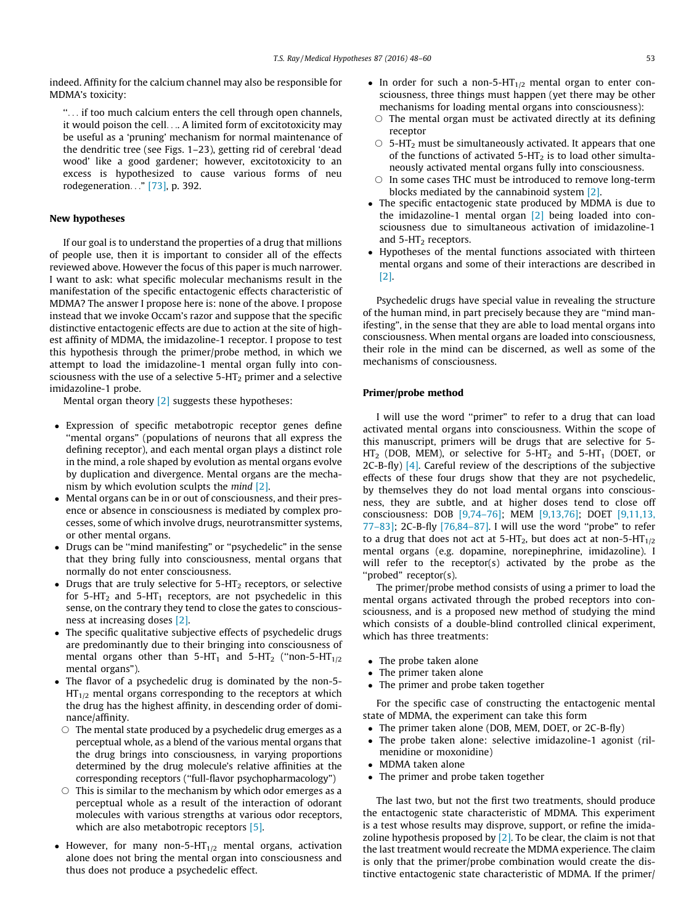indeed. Affinity for the calcium channel may also be responsible for MDMA's toxicity:

''... if too much calcium enters the cell through open channels, it would poison the cell.... A limited form of excitotoxicity may be useful as a 'pruning' mechanism for normal maintenance of the dendritic tree (see Figs. 1–23), getting rid of cerebral 'dead wood' like a good gardener; however, excitotoxicity to an excess is hypothesized to cause various forms of neu rodegeneration..." [\[73\],](#page-11-0) p. 392.

#### New hypotheses

If our goal is to understand the properties of a drug that millions of people use, then it is important to consider all of the effects reviewed above. However the focus of this paper is much narrower. I want to ask: what specific molecular mechanisms result in the manifestation of the specific entactogenic effects characteristic of MDMA? The answer I propose here is: none of the above. I propose instead that we invoke Occam's razor and suppose that the specific distinctive entactogenic effects are due to action at the site of highest affinity of MDMA, the imidazoline-1 receptor. I propose to test this hypothesis through the primer/probe method, in which we attempt to load the imidazoline-1 mental organ fully into consciousness with the use of a selective  $5-HT<sub>2</sub>$  primer and a selective imidazoline-1 probe.

Mental organ theory [\[2\]](#page-10-0) suggests these hypotheses:

- Expression of specific metabotropic receptor genes define ''mental organs" (populations of neurons that all express the defining receptor), and each mental organ plays a distinct role in the mind, a role shaped by evolution as mental organs evolve by duplication and divergence. Mental organs are the mechanism by which evolution sculpts the mind [\[2\]](#page-10-0).
- Mental organs can be in or out of consciousness, and their presence or absence in consciousness is mediated by complex processes, some of which involve drugs, neurotransmitter systems, or other mental organs.
- Drugs can be ''mind manifesting" or ''psychedelic" in the sense that they bring fully into consciousness, mental organs that normally do not enter consciousness.
- Drugs that are truly selective for  $5-HT<sub>2</sub>$  receptors, or selective for 5-HT<sub>2</sub> and 5-HT<sub>1</sub> receptors, are not psychedelic in this sense, on the contrary they tend to close the gates to consciousness at increasing doses [\[2\].](#page-10-0)
- The specific qualitative subjective effects of psychedelic drugs are predominantly due to their bringing into consciousness of mental organs other than  $5-HT_1$  and  $5-HT_2$  ("non-5-HT<sub>1/2</sub> mental organs").
- The flavor of a psychedelic drug is dominated by the non-5-  $HT_{1/2}$  mental organs corresponding to the receptors at which the drug has the highest affinity, in descending order of dominance/affinity.
- $\circ$  The mental state produced by a psychedelic drug emerges as a perceptual whole, as a blend of the various mental organs that the drug brings into consciousness, in varying proportions determined by the drug molecule's relative affinities at the corresponding receptors (''full-flavor psychopharmacology")
- $\circ$  This is similar to the mechanism by which odor emerges as a perceptual whole as a result of the interaction of odorant molecules with various strengths at various odor receptors, which are also metabotropic receptors [\[5\]](#page-10-0).
- However, for many non-5-HT $_{1/2}$  mental organs, activation alone does not bring the mental organ into consciousness and thus does not produce a psychedelic effect.
- In order for such a non-5-HT<sub>1/2</sub> mental organ to enter consciousness, three things must happen (yet there may be other mechanisms for loading mental organs into consciousness):
	- $\circ$  The mental organ must be activated directly at its defining receptor
	- $\circ$  5-HT<sub>2</sub> must be simultaneously activated. It appears that one of the functions of activated  $5-HT_2$  is to load other simultaneously activated mental organs fully into consciousness.
	- $\circ$  In some cases THC must be introduced to remove long-term blocks mediated by the cannabinoid system [\[2\].](#page-10-0)
- The specific entactogenic state produced by MDMA is due to the imidazoline-1 mental organ [\[2\]](#page-10-0) being loaded into consciousness due to simultaneous activation of imidazoline-1 and  $5-HT<sub>2</sub>$  receptors.
- Hypotheses of the mental functions associated with thirteen mental organs and some of their interactions are described in [\[2\]](#page-10-0).

Psychedelic drugs have special value in revealing the structure of the human mind, in part precisely because they are ''mind manifesting", in the sense that they are able to load mental organs into consciousness. When mental organs are loaded into consciousness, their role in the mind can be discerned, as well as some of the mechanisms of consciousness.

#### Primer/probe method

I will use the word ''primer" to refer to a drug that can load activated mental organs into consciousness. Within the scope of this manuscript, primers will be drugs that are selective for 5-  $HT_2$  (DOB, MEM), or selective for 5-HT<sub>2</sub> and 5-HT<sub>1</sub> (DOET, or 2C-B-fly) [\[4\]](#page-10-0). Careful review of the descriptions of the subjective effects of these four drugs show that they are not psychedelic, by themselves they do not load mental organs into consciousness, they are subtle, and at higher doses tend to close off consciousness: DOB [\[9,74–76\]](#page-10-0); MEM [\[9,13,76\];](#page-10-0) DOET [\[9,11,13,](#page-10-0) [77–83\]](#page-10-0); 2C-B-fly [\[76,84–87\]](#page-11-0). I will use the word ''probe" to refer to a drug that does not act at  $5-HT_2$ , but does act at non-5- $HT_{1/2}$ mental organs (e.g. dopamine, norepinephrine, imidazoline). I will refer to the receptor(s) activated by the probe as the "probed" receptor(s).

The primer/probe method consists of using a primer to load the mental organs activated through the probed receptors into consciousness, and is a proposed new method of studying the mind which consists of a double-blind controlled clinical experiment, which has three treatments:

- The probe taken alone
- The primer taken alone
- The primer and probe taken together

For the specific case of constructing the entactogenic mental state of MDMA, the experiment can take this form

- The primer taken alone (DOB, MEM, DOET, or 2C-B-fly)
- The probe taken alone: selective imidazoline-1 agonist (rilmenidine or moxonidine)
- MDMA taken alone
- The primer and probe taken together

The last two, but not the first two treatments, should produce the entactogenic state characteristic of MDMA. This experiment is a test whose results may disprove, support, or refine the imidazoline hypothesis proposed by  $[2]$ . To be clear, the claim is not that the last treatment would recreate the MDMA experience. The claim is only that the primer/probe combination would create the distinctive entactogenic state characteristic of MDMA. If the primer/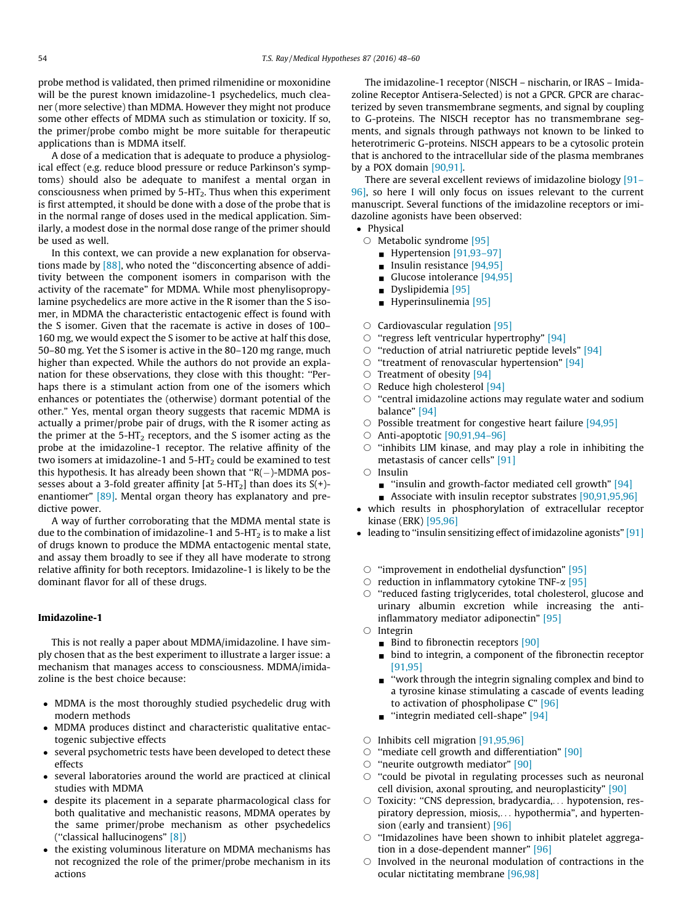probe method is validated, then primed rilmenidine or moxonidine will be the purest known imidazoline-1 psychedelics, much cleaner (more selective) than MDMA. However they might not produce some other effects of MDMA such as stimulation or toxicity. If so, the primer/probe combo might be more suitable for therapeutic applications than is MDMA itself.

A dose of a medication that is adequate to produce a physiological effect (e.g. reduce blood pressure or reduce Parkinson's symptoms) should also be adequate to manifest a mental organ in consciousness when primed by  $5-HT<sub>2</sub>$ . Thus when this experiment is first attempted, it should be done with a dose of the probe that is in the normal range of doses used in the medical application. Similarly, a modest dose in the normal dose range of the primer should be used as well.

In this context, we can provide a new explanation for observations made by [\[88\],](#page-11-0) who noted the ''disconcerting absence of additivity between the component isomers in comparison with the activity of the racemate" for MDMA. While most phenylisopropylamine psychedelics are more active in the R isomer than the S isomer, in MDMA the characteristic entactogenic effect is found with the S isomer. Given that the racemate is active in doses of 100– 160 mg, we would expect the S isomer to be active at half this dose, 50–80 mg. Yet the S isomer is active in the 80–120 mg range, much higher than expected. While the authors do not provide an explanation for these observations, they close with this thought: ''Perhaps there is a stimulant action from one of the isomers which enhances or potentiates the (otherwise) dormant potential of the other." Yes, mental organ theory suggests that racemic MDMA is actually a primer/probe pair of drugs, with the R isomer acting as the primer at the  $5-HT<sub>2</sub>$  receptors, and the S isomer acting as the probe at the imidazoline-1 receptor. The relative affinity of the two isomers at imidazoline-1 and  $5-HT_2$  could be examined to test this hypothesis. It has already been shown that " $R(-)$ -MDMA possesses about a 3-fold greater affinity [at  $5-HT_2$ ] than does its  $S(+)$ -enantiomer" [\[89\].](#page-11-0) Mental organ theory has explanatory and predictive power.

A way of further corroborating that the MDMA mental state is due to the combination of imidazoline-1 and  $5-HT<sub>2</sub>$  is to make a list of drugs known to produce the MDMA entactogenic mental state, and assay them broadly to see if they all have moderate to strong relative affinity for both receptors. Imidazoline-1 is likely to be the dominant flavor for all of these drugs.

#### Imidazoline-1

This is not really a paper about MDMA/imidazoline. I have simply chosen that as the best experiment to illustrate a larger issue: a mechanism that manages access to consciousness. MDMA/imidazoline is the best choice because:

- MDMA is the most thoroughly studied psychedelic drug with modern methods
- MDMA produces distinct and characteristic qualitative entactogenic subjective effects
- several psychometric tests have been developed to detect these effects
- several laboratories around the world are practiced at clinical studies with MDMA
- despite its placement in a separate pharmacological class for both qualitative and mechanistic reasons, MDMA operates by the same primer/probe mechanism as other psychedelics (''classical hallucinogens" [\[8\]\)](#page-10-0)
- the existing voluminous literature on MDMA mechanisms has not recognized the role of the primer/probe mechanism in its actions

The imidazoline-1 receptor (NISCH – nischarin, or IRAS – Imidazoline Receptor Antisera-Selected) is not a GPCR. GPCR are characterized by seven transmembrane segments, and signal by coupling to G-proteins. The NISCH receptor has no transmembrane segments, and signals through pathways not known to be linked to heterotrimeric G-proteins. NISCH appears to be a cytosolic protein that is anchored to the intracellular side of the plasma membranes by a POX domain [\[90,91\]](#page-11-0).

There are several excellent reviews of imidazoline biology [\[91–](#page-11-0) [96\]](#page-11-0), so here I will only focus on issues relevant to the current manuscript. Several functions of the imidazoline receptors or imidazoline agonists have been observed:

- Physical
	- $\circ$  Metabolic syndrome [\[95\]](#page-11-0)
		- $\blacksquare$  Hypertension [91,93-97]
		- **Insulin resistance [\[94,95\]](#page-11-0)**
		- Glucose intolerance  $[94.95]$
		- $\blacksquare$  Dyslipidemia [\[95\]](#page-11-0)
		- $\blacksquare$  Hyperinsulinemia [\[95\]](#page-11-0)
- $\circ$  Cardiovascular regulation [\[95\]](#page-11-0)
- $\circ$  "regress left ventricular hypertrophy" [\[94\]](#page-11-0)
- $\circ$  "reduction of atrial natriuretic peptide levels" [\[94\]](#page-11-0)
- $\circ$  "treatment of renovascular hypertension" [\[94\]](#page-11-0)
- $\circ$  Treatment of obesity [\[94\]](#page-11-0)
- $\circ$  Reduce high cholesterol [\[94\]](#page-11-0)
- $\circ$  "central imidazoline actions may regulate water and sodium balance" [\[94\]](#page-11-0)
- $\circ$  Possible treatment for congestive heart failure [\[94,95\]](#page-11-0)
- $\circ$  Anti-apoptotic [90,91,94-96]
- $\circ$  "inhibits LIM kinase, and may play a role in inhibiting the metastasis of cancer cells" [\[91\]](#page-11-0)
- $\bigcap$  Insulin
	- $\blacksquare$  "insulin and growth-factor mediated cell growth" [\[94\]](#page-11-0)
	- **Associate with insulin receptor substrates [\[90,91,95,96\]](#page-11-0)**
- which results in phosphorylation of extracellular receptor kinase (ERK) [\[95,96\]](#page-11-0)
- leading to "insulin sensitizing effect of imidazoline agonists"  $[91]$
- $\circ$  "improvement in endothelial dysfunction" [\[95\]](#page-11-0)
- $\circ$  reduction in inflammatory cytokine TNF- $\alpha$  [\[95\]](#page-11-0)
- $\circ$  "reduced fasting triglycerides, total cholesterol, glucose and urinary albumin excretion while increasing the antiinflammatory mediator adiponectin" [\[95\]](#page-11-0)
- $\circ$  Integrin
	- $\blacksquare$  Bind to fibronectin receptors [\[90\]](#page-11-0)
	- $\blacksquare$  bind to integrin, a component of the fibronectin receptor [\[91,95\]](#page-11-0)
	- & ''work through the integrin signaling complex and bind to a tyrosine kinase stimulating a cascade of events leading to activation of phospholipase C" [\[96\]](#page-11-0)
	- **u** "integrin mediated cell-shape"  $[94]$
- $\circ$  Inhibits cell migration [\[91,95,96\]](#page-11-0)
- $\circ$  "mediate cell growth and differentiation" [\[90\]](#page-11-0)
- $\circ$  "neurite outgrowth mediator" [\[90\]](#page-11-0)
	- $\circ$  "could be pivotal in regulating processes such as neuronal cell division, axonal sprouting, and neuroplasticity" [\[90\]](#page-11-0)
	- $\circ$  Toxicity: "CNS depression, bradycardia,... hypotension, respiratory depression, miosis,... hypothermia", and hypertension (early and transient) [\[96\]](#page-11-0)
	- $\circ$  "Imidazolines have been shown to inhibit platelet aggregation in a dose-dependent manner" [\[96\]](#page-11-0)
	- $\circ$  Involved in the neuronal modulation of contractions in the ocular nictitating membrane [\[96,98\]](#page-11-0)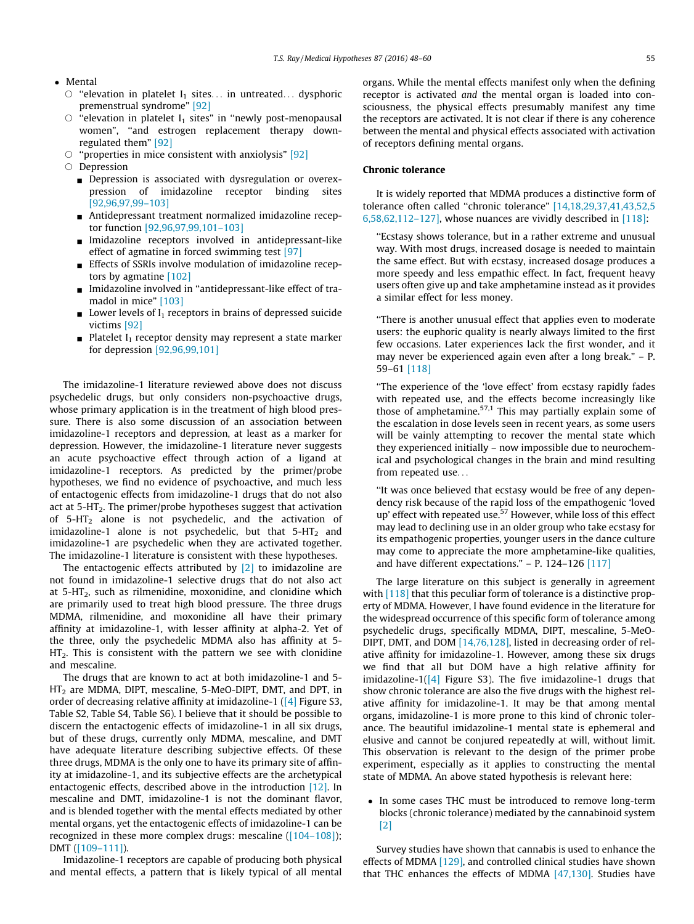#### Mental

- $\circ$  "elevation in platelet I<sub>1</sub> sites... in untreated... dysphoric premenstrual syndrome" [\[92\]](#page-11-0)
- "elevation in platelet  $I_1$  sites" in "newly post-menopausal women", ''and estrogen replacement therapy downregulated them" [\[92\]](#page-11-0)
- $\circ$  "properties in mice consistent with anxiolysis" [\[92\]](#page-11-0)
- $\circ$  Depression
	- & Depression is associated with dysregulation or overexpression of imidazoline receptor binding sites [\[92,96,97,99–103\]](#page-11-0)
	- & Antidepressant treatment normalized imidazoline receptor function [\[92,96,97,99,101–103\]](#page-11-0)
	- & Imidazoline receptors involved in antidepressant-like effect of agmatine in forced swimming test [\[97\]](#page-11-0)
	- **Effects of SSRIs involve modulation of imidazoline recep**tors by agmatine [\[102\]](#page-11-0)
	- & Imidazoline involved in ''antidepressant-like effect of tramadol in mice" [\[103\]](#page-11-0)
	- Lower levels of  $I_1$  receptors in brains of depressed suicide victims [\[92\]](#page-11-0)
	- $\blacksquare$  Platelet I<sub>1</sub> receptor density may represent a state marker for depression [\[92,96,99,101\]](#page-11-0)

The imidazoline-1 literature reviewed above does not discuss psychedelic drugs, but only considers non-psychoactive drugs, whose primary application is in the treatment of high blood pressure. There is also some discussion of an association between imidazoline-1 receptors and depression, at least as a marker for depression. However, the imidazoline-1 literature never suggests an acute psychoactive effect through action of a ligand at imidazoline-1 receptors. As predicted by the primer/probe hypotheses, we find no evidence of psychoactive, and much less of entactogenic effects from imidazoline-1 drugs that do not also act at  $5-HT<sub>2</sub>$ . The primer/probe hypotheses suggest that activation of  $5-HT<sub>2</sub>$  alone is not psychedelic, and the activation of imidazoline-1 alone is not psychedelic, but that  $5-HT_2$  and imidazoline-1 are psychedelic when they are activated together. The imidazoline-1 literature is consistent with these hypotheses.

The entactogenic effects attributed by [\[2\]](#page-10-0) to imidazoline are not found in imidazoline-1 selective drugs that do not also act at  $5-HT<sub>2</sub>$ , such as rilmenidine, moxonidine, and clonidine which are primarily used to treat high blood pressure. The three drugs MDMA, rilmenidine, and moxonidine all have their primary affinity at imidazoline-1, with lesser affinity at alpha-2. Yet of the three, only the psychedelic MDMA also has affinity at 5-  $HT<sub>2</sub>$ . This is consistent with the pattern we see with clonidine and mescaline.

The drugs that are known to act at both imidazoline-1 and 5- HT2 are MDMA, DIPT, mescaline, 5-MeO-DIPT, DMT, and DPT, in order of decreasing relative affinity at imidazoline-1 [\(\[4\]](#page-10-0) Figure S3, Table S2, Table S4, Table S6). I believe that it should be possible to discern the entactogenic effects of imidazoline-1 in all six drugs, but of these drugs, currently only MDMA, mescaline, and DMT have adequate literature describing subjective effects. Of these three drugs, MDMA is the only one to have its primary site of affinity at imidazoline-1, and its subjective effects are the archetypical entactogenic effects, described above in the introduction [\[12\].](#page-10-0) In mescaline and DMT, imidazoline-1 is not the dominant flavor, and is blended together with the mental effects mediated by other mental organs, yet the entactogenic effects of imidazoline-1 can be recognized in these more complex drugs: mescaline ([104-108]); DMT [\(\[109–111\]\)](#page-11-0).

Imidazoline-1 receptors are capable of producing both physical and mental effects, a pattern that is likely typical of all mental organs. While the mental effects manifest only when the defining receptor is activated and the mental organ is loaded into consciousness, the physical effects presumably manifest any time the receptors are activated. It is not clear if there is any coherence between the mental and physical effects associated with activation of receptors defining mental organs.

## Chronic tolerance

It is widely reported that MDMA produces a distinctive form of tolerance often called ''chronic tolerance" [\[14,18,29,37,41,43,52,5](#page-10-0) [6,58,62,112–127\]](#page-10-0), whose nuances are vividly described in [\[118\]](#page-12-0):

''Ecstasy shows tolerance, but in a rather extreme and unusual way. With most drugs, increased dosage is needed to maintain the same effect. But with ecstasy, increased dosage produces a more speedy and less empathic effect. In fact, frequent heavy users often give up and take amphetamine instead as it provides a similar effect for less money.

''There is another unusual effect that applies even to moderate users: the euphoric quality is nearly always limited to the first few occasions. Later experiences lack the first wonder, and it may never be experienced again even after a long break." – P. 59–61 [\[118\]](#page-12-0)

''The experience of the 'love effect' from ecstasy rapidly fades with repeated use, and the effects become increasingly like those of amphetamine. $57,1$  This may partially explain some of the escalation in dose levels seen in recent years, as some users will be vainly attempting to recover the mental state which they experienced initially – now impossible due to neurochemical and psychological changes in the brain and mind resulting from repeated use...

''It was once believed that ecstasy would be free of any dependency risk because of the rapid loss of the empathogenic 'loved up' effect with repeated use.<sup>57</sup> However, while loss of this effect may lead to declining use in an older group who take ecstasy for its empathogenic properties, younger users in the dance culture may come to appreciate the more amphetamine-like qualities, and have different expectations."  $-$  P. 124–126 [\[117\]](#page-11-0)

The large literature on this subject is generally in agreement with [\[118\]](#page-12-0) that this peculiar form of tolerance is a distinctive property of MDMA. However, I have found evidence in the literature for the widespread occurrence of this specific form of tolerance among psychedelic drugs, specifically MDMA, DIPT, mescaline, 5-MeO-DIPT, DMT, and DOM [\[14,76,128\],](#page-10-0) listed in decreasing order of relative affinity for imidazoline-1. However, among these six drugs we find that all but DOM have a high relative affinity for imidazoline-1( $[4]$  Figure S3). The five imidazoline-1 drugs that show chronic tolerance are also the five drugs with the highest relative affinity for imidazoline-1. It may be that among mental organs, imidazoline-1 is more prone to this kind of chronic tolerance. The beautiful imidazoline-1 mental state is ephemeral and elusive and cannot be conjured repeatedly at will, without limit. This observation is relevant to the design of the primer probe experiment, especially as it applies to constructing the mental state of MDMA. An above stated hypothesis is relevant here:

• In some cases THC must be introduced to remove long-term blocks (chronic tolerance) mediated by the cannabinoid system [\[2\]](#page-10-0)

Survey studies have shown that cannabis is used to enhance the effects of MDMA [\[129\]](#page-12-0), and controlled clinical studies have shown that THC enhances the effects of MDMA  $[47,130]$ . Studies have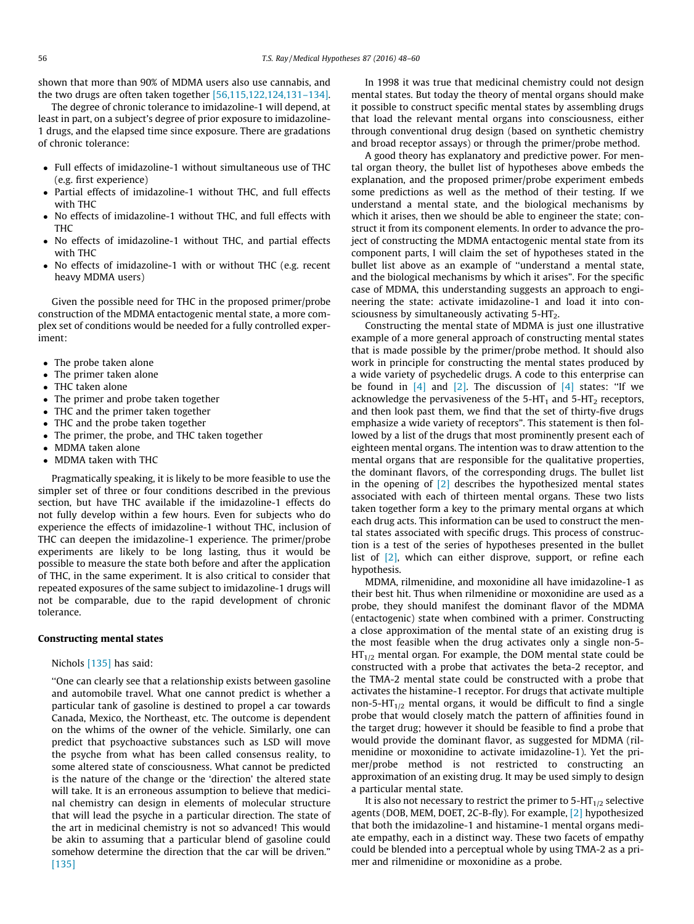shown that more than 90% of MDMA users also use cannabis, and the two drugs are often taken together [\[56,115,122,124,131–134\].](#page-11-0)

The degree of chronic tolerance to imidazoline-1 will depend, at least in part, on a subject's degree of prior exposure to imidazoline-1 drugs, and the elapsed time since exposure. There are gradations of chronic tolerance:

- Full effects of imidazoline-1 without simultaneous use of THC (e.g. first experience)
- Partial effects of imidazoline-1 without THC, and full effects with THC
- No effects of imidazoline-1 without THC, and full effects with THC
- No effects of imidazoline-1 without THC, and partial effects with THC
- No effects of imidazoline-1 with or without THC (e.g. recent heavy MDMA users)

Given the possible need for THC in the proposed primer/probe construction of the MDMA entactogenic mental state, a more complex set of conditions would be needed for a fully controlled experiment:

- The probe taken alone
- The primer taken alone
- THC taken alone
- The primer and probe taken together
- THC and the primer taken together
- THC and the probe taken together
- The primer, the probe, and THC taken together
- MDMA taken alone
- MDMA taken with THC

Pragmatically speaking, it is likely to be more feasible to use the simpler set of three or four conditions described in the previous section, but have THC available if the imidazoline-1 effects do not fully develop within a few hours. Even for subjects who do experience the effects of imidazoline-1 without THC, inclusion of THC can deepen the imidazoline-1 experience. The primer/probe experiments are likely to be long lasting, thus it would be possible to measure the state both before and after the application of THC, in the same experiment. It is also critical to consider that repeated exposures of the same subject to imidazoline-1 drugs will not be comparable, due to the rapid development of chronic tolerance.

# Constructing mental states

#### Nichols [\[135\]](#page-12-0) has said:

''One can clearly see that a relationship exists between gasoline and automobile travel. What one cannot predict is whether a particular tank of gasoline is destined to propel a car towards Canada, Mexico, the Northeast, etc. The outcome is dependent on the whims of the owner of the vehicle. Similarly, one can predict that psychoactive substances such as LSD will move the psyche from what has been called consensus reality, to some altered state of consciousness. What cannot be predicted is the nature of the change or the 'direction' the altered state will take. It is an erroneous assumption to believe that medicinal chemistry can design in elements of molecular structure that will lead the psyche in a particular direction. The state of the art in medicinal chemistry is not so advanced! This would be akin to assuming that a particular blend of gasoline could somehow determine the direction that the car will be driven." [\[135\]](#page-12-0)

In 1998 it was true that medicinal chemistry could not design mental states. But today the theory of mental organs should make it possible to construct specific mental states by assembling drugs that load the relevant mental organs into consciousness, either through conventional drug design (based on synthetic chemistry and broad receptor assays) or through the primer/probe method.

A good theory has explanatory and predictive power. For mental organ theory, the bullet list of hypotheses above embeds the explanation, and the proposed primer/probe experiment embeds some predictions as well as the method of their testing. If we understand a mental state, and the biological mechanisms by which it arises, then we should be able to engineer the state; construct it from its component elements. In order to advance the project of constructing the MDMA entactogenic mental state from its component parts, I will claim the set of hypotheses stated in the bullet list above as an example of ''understand a mental state, and the biological mechanisms by which it arises". For the specific case of MDMA, this understanding suggests an approach to engineering the state: activate imidazoline-1 and load it into consciousness by simultaneously activating  $5-HT<sub>2</sub>$ .

Constructing the mental state of MDMA is just one illustrative example of a more general approach of constructing mental states that is made possible by the primer/probe method. It should also work in principle for constructing the mental states produced by a wide variety of psychedelic drugs. A code to this enterprise can be found in  $[4]$  and  $[2]$ . The discussion of  $[4]$  states: "If we acknowledge the pervasiveness of the  $5-HT_1$  and  $5-HT_2$  receptors, and then look past them, we find that the set of thirty-five drugs emphasize a wide variety of receptors". This statement is then followed by a list of the drugs that most prominently present each of eighteen mental organs. The intention was to draw attention to the mental organs that are responsible for the qualitative properties, the dominant flavors, of the corresponding drugs. The bullet list in the opening of  $\lfloor 2 \rfloor$  describes the hypothesized mental states associated with each of thirteen mental organs. These two lists taken together form a key to the primary mental organs at which each drug acts. This information can be used to construct the mental states associated with specific drugs. This process of construction is a test of the series of hypotheses presented in the bullet list of  $[2]$ , which can either disprove, support, or refine each hypothesis.

MDMA, rilmenidine, and moxonidine all have imidazoline-1 as their best hit. Thus when rilmenidine or moxonidine are used as a probe, they should manifest the dominant flavor of the MDMA (entactogenic) state when combined with a primer. Constructing a close approximation of the mental state of an existing drug is the most feasible when the drug activates only a single non-5-  $HT_{1/2}$  mental organ. For example, the DOM mental state could be constructed with a probe that activates the beta-2 receptor, and the TMA-2 mental state could be constructed with a probe that activates the histamine-1 receptor. For drugs that activate multiple non-5-HT $_{1/2}$  mental organs, it would be difficult to find a single probe that would closely match the pattern of affinities found in the target drug; however it should be feasible to find a probe that would provide the dominant flavor, as suggested for MDMA (rilmenidine or moxonidine to activate imidazoline-1). Yet the primer/probe method is not restricted to constructing an approximation of an existing drug. It may be used simply to design a particular mental state.

It is also not necessary to restrict the primer to  $5-HT<sub>1/2</sub>$  selective agents (DOB, MEM, DOET, 2C-B-fly). For example, [\[2\]](#page-10-0) hypothesized that both the imidazoline-1 and histamine-1 mental organs mediate empathy, each in a distinct way. These two facets of empathy could be blended into a perceptual whole by using TMA-2 as a primer and rilmenidine or moxonidine as a probe.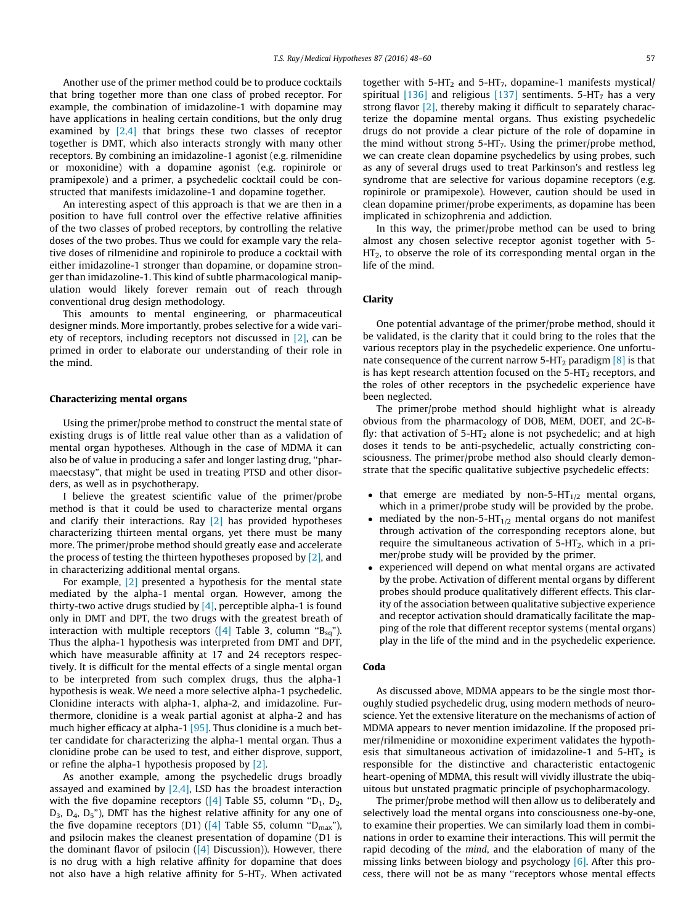Another use of the primer method could be to produce cocktails that bring together more than one class of probed receptor. For example, the combination of imidazoline-1 with dopamine may have applications in healing certain conditions, but the only drug examined by  $[2,4]$  that brings these two classes of receptor together is DMT, which also interacts strongly with many other receptors. By combining an imidazoline-1 agonist (e.g. rilmenidine or moxonidine) with a dopamine agonist (e.g. ropinirole or pramipexole) and a primer, a psychedelic cocktail could be constructed that manifests imidazoline-1 and dopamine together.

An interesting aspect of this approach is that we are then in a position to have full control over the effective relative affinities of the two classes of probed receptors, by controlling the relative doses of the two probes. Thus we could for example vary the relative doses of rilmenidine and ropinirole to produce a cocktail with either imidazoline-1 stronger than dopamine, or dopamine stronger than imidazoline-1. This kind of subtle pharmacological manipulation would likely forever remain out of reach through conventional drug design methodology.

This amounts to mental engineering, or pharmaceutical designer minds. More importantly, probes selective for a wide variety of receptors, including receptors not discussed in [\[2\],](#page-10-0) can be primed in order to elaborate our understanding of their role in the mind.

#### Characterizing mental organs

Using the primer/probe method to construct the mental state of existing drugs is of little real value other than as a validation of mental organ hypotheses. Although in the case of MDMA it can also be of value in producing a safer and longer lasting drug, ''pharmaecstasy", that might be used in treating PTSD and other disorders, as well as in psychotherapy.

I believe the greatest scientific value of the primer/probe method is that it could be used to characterize mental organs and clarify their interactions. Ray  $[2]$  has provided hypotheses characterizing thirteen mental organs, yet there must be many more. The primer/probe method should greatly ease and accelerate the process of testing the thirteen hypotheses proposed by [\[2\],](#page-10-0) and in characterizing additional mental organs.

For example, [\[2\]](#page-10-0) presented a hypothesis for the mental state mediated by the alpha-1 mental organ. However, among the thirty-two active drugs studied by  $[4]$ , perceptible alpha-1 is found only in DMT and DPT, the two drugs with the greatest breath of interaction with multiple receptors ( $[4]$  Table 3, column " $B_{\text{sa}}$ "). Thus the alpha-1 hypothesis was interpreted from DMT and DPT, which have measurable affinity at 17 and 24 receptors respectively. It is difficult for the mental effects of a single mental organ to be interpreted from such complex drugs, thus the alpha-1 hypothesis is weak. We need a more selective alpha-1 psychedelic. Clonidine interacts with alpha-1, alpha-2, and imidazoline. Furthermore, clonidine is a weak partial agonist at alpha-2 and has much higher efficacy at alpha-1 [\[95\].](#page-11-0) Thus clonidine is a much better candidate for characterizing the alpha-1 mental organ. Thus a clonidine probe can be used to test, and either disprove, support, or refine the alpha-1 hypothesis proposed by [\[2\].](#page-10-0)

As another example, among the psychedelic drugs broadly assayed and examined by  $[2,4]$ , LSD has the broadest interaction with the five dopamine receptors ( $[4]$  Table S5, column "D<sub>1</sub>, D<sub>2</sub>, D3, D4, D5"), DMT has the highest relative affinity for any one of the five dopamine receptors (D1) ( $[4]$  Table S5, column "D<sub>max</sub>"), and psilocin makes the cleanest presentation of dopamine (D1 is the dominant flavor of psilocin  $([4]$  Discussion)). However, there is no drug with a high relative affinity for dopamine that does not also have a high relative affinity for  $5-HT<sub>7</sub>$ . When activated together with  $5-HT_2$  and  $5-HT_7$ , dopamine-1 manifests mystical/ spiritual [\[136\]](#page-12-0) and religious [\[137\]](#page-12-0) sentiments.  $5-HT<sub>7</sub>$  has a very strong flavor [\[2\],](#page-10-0) thereby making it difficult to separately characterize the dopamine mental organs. Thus existing psychedelic drugs do not provide a clear picture of the role of dopamine in the mind without strong  $5-HT<sub>7</sub>$ . Using the primer/probe method, we can create clean dopamine psychedelics by using probes, such as any of several drugs used to treat Parkinson's and restless leg syndrome that are selective for various dopamine receptors (e.g. ropinirole or pramipexole). However, caution should be used in clean dopamine primer/probe experiments, as dopamine has been implicated in schizophrenia and addiction.

In this way, the primer/probe method can be used to bring almost any chosen selective receptor agonist together with 5-  $HT<sub>2</sub>$ , to observe the role of its corresponding mental organ in the life of the mind.

# Clarity

One potential advantage of the primer/probe method, should it be validated, is the clarity that it could bring to the roles that the various receptors play in the psychedelic experience. One unfortunate consequence of the current narrow 5-HT<sub>2</sub> paradigm  $[8]$  is that is has kept research attention focused on the  $5-HT<sub>2</sub>$  receptors, and the roles of other receptors in the psychedelic experience have been neglected.

The primer/probe method should highlight what is already obvious from the pharmacology of DOB, MEM, DOET, and 2C-Bfly: that activation of  $5-HT_2$  alone is not psychedelic; and at high doses it tends to be anti-psychedelic, actually constricting consciousness. The primer/probe method also should clearly demonstrate that the specific qualitative subjective psychedelic effects:

- that emerge are mediated by non-5-HT $_{1/2}$  mental organs, which in a primer/probe study will be provided by the probe.
- mediated by the non-5-HT<sub>1/2</sub> mental organs do not manifest through activation of the corresponding receptors alone, but require the simultaneous activation of  $5-HT_2$ , which in a primer/probe study will be provided by the primer.
- experienced will depend on what mental organs are activated by the probe. Activation of different mental organs by different probes should produce qualitatively different effects. This clarity of the association between qualitative subjective experience and receptor activation should dramatically facilitate the mapping of the role that different receptor systems (mental organs) play in the life of the mind and in the psychedelic experience.

#### Coda

As discussed above, MDMA appears to be the single most thoroughly studied psychedelic drug, using modern methods of neuroscience. Yet the extensive literature on the mechanisms of action of MDMA appears to never mention imidazoline. If the proposed primer/rilmenidine or moxonidine experiment validates the hypothesis that simultaneous activation of imidazoline-1 and  $5-HT_2$  is responsible for the distinctive and characteristic entactogenic heart-opening of MDMA, this result will vividly illustrate the ubiquitous but unstated pragmatic principle of psychopharmacology.

The primer/probe method will then allow us to deliberately and selectively load the mental organs into consciousness one-by-one, to examine their properties. We can similarly load them in combinations in order to examine their interactions. This will permit the rapid decoding of the mind, and the elaboration of many of the missing links between biology and psychology [\[6\]](#page-10-0). After this process, there will not be as many ''receptors whose mental effects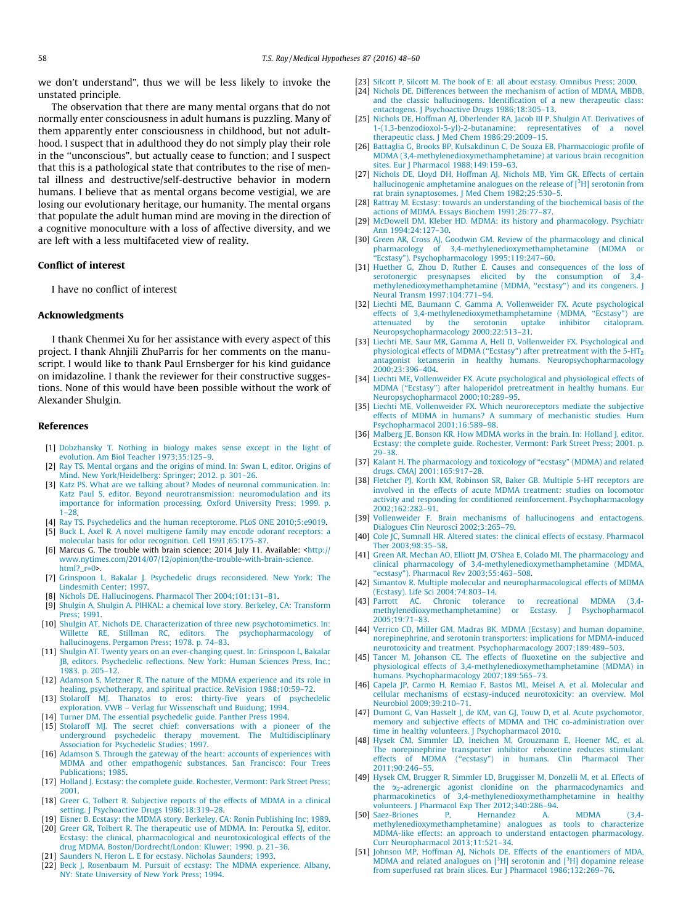<span id="page-10-0"></span>we don't understand", thus we will be less likely to invoke the unstated principle.

The observation that there are many mental organs that do not normally enter consciousness in adult humans is puzzling. Many of them apparently enter consciousness in childhood, but not adulthood. I suspect that in adulthood they do not simply play their role in the ''unconscious", but actually cease to function; and I suspect that this is a pathological state that contributes to the rise of mental illness and destructive/self-destructive behavior in modern humans. I believe that as mental organs become vestigial, we are losing our evolutionary heritage, our humanity. The mental organs that populate the adult human mind are moving in the direction of a cognitive monoculture with a loss of affective diversity, and we are left with a less multifaceted view of reality.

#### Conflict of interest

I have no conflict of interest

#### Acknowledgments

I thank Chenmei Xu for her assistance with every aspect of this project. I thank Ahnjili ZhuParris for her comments on the manuscript. I would like to thank Paul Ernsberger for his kind guidance on imidazoline. I thank the reviewer for their constructive suggestions. None of this would have been possible without the work of Alexander Shulgin.

#### References

- [1] [Dobzhansky T. Nothing in biology makes sense except in the light of](http://refhub.elsevier.com/S0306-9877(15)00472-7/h0005) [evolution. Am Biol Teacher 1973;35:125–9.](http://refhub.elsevier.com/S0306-9877(15)00472-7/h0005)
- [2] [Ray TS. Mental organs and the origins of mind. In: Swan L, editor. Origins of](http://refhub.elsevier.com/S0306-9877(15)00472-7/h0010) [Mind. New York/Heidelberg: Springer; 2012. p. 301–26](http://refhub.elsevier.com/S0306-9877(15)00472-7/h0010).
- [3] [Katz PS. What are we talking about? Modes of neuronal communication. In:](http://refhub.elsevier.com/S0306-9877(15)00472-7/h0015) [Katz Paul S, editor. Beyond neurotransmission: neuromodulation and its](http://refhub.elsevier.com/S0306-9877(15)00472-7/h0015) [importance for information processing. Oxford University Press; 1999. p.](http://refhub.elsevier.com/S0306-9877(15)00472-7/h0015) [1–28](http://refhub.elsevier.com/S0306-9877(15)00472-7/h0015).
- 4] [Ray TS. Psychedelics and the human receptorome. PLoS ONE 2010;5:e9019.](http://refhub.elsevier.com/S0306-9877(15)00472-7/h0020) [5] [Buck L, Axel R. A novel multigene family may encode odorant receptors: a](http://refhub.elsevier.com/S0306-9877(15)00472-7/h0025)
- [molecular basis for odor recognition. Cell 1991;65:175–87](http://refhub.elsevier.com/S0306-9877(15)00472-7/h0025).
- [6] Marcus G. The trouble with brain science; 2014 July 11. Available: [<http://](http://www.nytimes.com/2014/07/12/opinion/the-trouble-with-brain-science.html?_r=0) [www.nytimes.com/2014/07/12/opinion/the-trouble-with-brain-science.](http://www.nytimes.com/2014/07/12/opinion/the-trouble-with-brain-science.html?_r=0) [html?\\_r=0](http://www.nytimes.com/2014/07/12/opinion/the-trouble-with-brain-science.html?_r=0)>.
- [7] [Grinspoon L, Bakalar J. Psychedelic drugs reconsidered. New York: The](http://refhub.elsevier.com/S0306-9877(15)00472-7/h0035) [Lindesmith Center; 1997](http://refhub.elsevier.com/S0306-9877(15)00472-7/h0035).
- [8] [Nichols DE. Hallucinogens. Pharmacol Ther 2004;101:131–81](http://refhub.elsevier.com/S0306-9877(15)00472-7/h0040).
- [9] [Shulgin A, Shulgin A. PIHKAL: a chemical love story. Berkeley, CA: Transform](http://refhub.elsevier.com/S0306-9877(15)00472-7/h0045) [Press; 1991](http://refhub.elsevier.com/S0306-9877(15)00472-7/h0045).
- [10] [Shulgin AT, Nichols DE. Characterization of three new psychotomimetics. In:](http://refhub.elsevier.com/S0306-9877(15)00472-7/h0050) [Willette RE, Stillman RC, editors. The psychopharmacology of](http://refhub.elsevier.com/S0306-9877(15)00472-7/h0050) [hallucinogens. Pergamon Press; 1978. p. 74–83](http://refhub.elsevier.com/S0306-9877(15)00472-7/h0050).
- [11] [Shulgin AT. Twenty years on an ever-changing quest. In: Grinspoon L, Bakalar](http://refhub.elsevier.com/S0306-9877(15)00472-7/h0055) [JB, editors. Psychedelic reflections. New York: Human Sciences Press, Inc.;](http://refhub.elsevier.com/S0306-9877(15)00472-7/h0055) [1983. p. 205–12.](http://refhub.elsevier.com/S0306-9877(15)00472-7/h0055)
- [12] [Adamson S, Metzner R. The nature of the MDMA experience and its role in](http://refhub.elsevier.com/S0306-9877(15)00472-7/h0060) [healing, psychotherapy, and spiritual practice. ReVision 1988;10:59–72](http://refhub.elsevier.com/S0306-9877(15)00472-7/h0060).
- [13] [Stolaroff MJ. Thanatos to eros: thirty-five years of psychedelic](http://refhub.elsevier.com/S0306-9877(15)00472-7/h0065) [exploration. VWB – Verlag fur Wissenschaft und Buidung; 1994.](http://refhub.elsevier.com/S0306-9877(15)00472-7/h0065)
- [14] [Turner DM. The essential psychedelic guide. Panther Press 1994.](http://refhub.elsevier.com/S0306-9877(15)00472-7/h0070)
- [15] [Stolaroff MJ. The secret chief: conversations with a pioneer of the](http://refhub.elsevier.com/S0306-9877(15)00472-7/h0075) [underground psychedelic therapy movement. The Multidisciplinary](http://refhub.elsevier.com/S0306-9877(15)00472-7/h0075) [Association for Psychedelic Studies; 1997.](http://refhub.elsevier.com/S0306-9877(15)00472-7/h0075)
- [16] [Adamson S. Through the gateway of the heart: accounts of experiences with](http://refhub.elsevier.com/S0306-9877(15)00472-7/h0080) [MDMA and other empathogenic substances. San Francisco: Four Trees](http://refhub.elsevier.com/S0306-9877(15)00472-7/h0080) Publications: 1985
- [17] [Holland J. Ecstasy: the complete guide. Rochester, Vermont: Park Street Press;](http://refhub.elsevier.com/S0306-9877(15)00472-7/h0085) [2001.](http://refhub.elsevier.com/S0306-9877(15)00472-7/h0085)
- [18] [Greer G, Tolbert R. Subjective reports of the effects of MDMA in a clinical](http://refhub.elsevier.com/S0306-9877(15)00472-7/h0090) [setting. J Psychoactive Drugs 1986;18:319–28.](http://refhub.elsevier.com/S0306-9877(15)00472-7/h0090)
- 19] [Eisner B. Ecstasy: the MDMA story. Berkeley, CA: Ronin Publishing Inc; 1989](http://refhub.elsevier.com/S0306-9877(15)00472-7/h0095).
- [20] [Greer GR, Tolbert R. The therapeutic use of MDMA. In: Peroutka SJ, editor.](http://refhub.elsevier.com/S0306-9877(15)00472-7/h0100) [Ecstasy: the clinical, pharmacological and neurotoxicological effects of the](http://refhub.elsevier.com/S0306-9877(15)00472-7/h0100) [drug MDMA. Boston/Dordrecht/London: Kluwer; 1990. p. 21–36](http://refhub.elsevier.com/S0306-9877(15)00472-7/h0100).
- [21] [Saunders N, Heron L. E for ecstasy. Nicholas Saunders; 1993.](http://refhub.elsevier.com/S0306-9877(15)00472-7/h0105)
- [22] [Beck J, Rosenbaum M. Pursuit of ecstasy: The MDMA experience. Albany,](http://refhub.elsevier.com/S0306-9877(15)00472-7/h0110) [NY: State University of New York Press; 1994.](http://refhub.elsevier.com/S0306-9877(15)00472-7/h0110)
- [23] [Silcott P, Silcott M. The book of E: all about ecstasy. Omnibus Press; 2000](http://refhub.elsevier.com/S0306-9877(15)00472-7/h0115).
- [24] [Nichols DE. Differences between the mechanism of action of MDMA, MBDB,](http://refhub.elsevier.com/S0306-9877(15)00472-7/h0120) [and the classic hallucinogens. Identification of a new therapeutic class:](http://refhub.elsevier.com/S0306-9877(15)00472-7/h0120) [entactogens. J Psychoactive Drugs 1986;18:305–13](http://refhub.elsevier.com/S0306-9877(15)00472-7/h0120).
- [25] [Nichols DE, Hoffman AJ, Oberlender RA, Jacob III P, Shulgin AT. Derivatives of](http://refhub.elsevier.com/S0306-9877(15)00472-7/h0125) [1-\(1,3-benzodioxol-5-yl\)-2-butanamine: representatives of a novel](http://refhub.elsevier.com/S0306-9877(15)00472-7/h0125) [therapeutic class. J Med Chem 1986;29:2009–15.](http://refhub.elsevier.com/S0306-9877(15)00472-7/h0125)
- [26] [Battaglia G, Brooks BP, Kulsakdinun C, De Souza EB. Pharmacologic profile of](http://refhub.elsevier.com/S0306-9877(15)00472-7/h0130) [MDMA \(3,4-methylenedioxymethamphetamine\) at various brain recognition](http://refhub.elsevier.com/S0306-9877(15)00472-7/h0130) [sites. Eur J Pharmacol 1988;149:159–63.](http://refhub.elsevier.com/S0306-9877(15)00472-7/h0130)
- [27] [Nichols DE, Lloyd DH, Hoffman AJ, Nichols MB, Yim GK. Effects of certain](http://refhub.elsevier.com/S0306-9877(15)00472-7/h0135) [hallucinogenic](http://refhub.elsevier.com/S0306-9877(15)00472-7/h0135) [amphetamine](http://refhub.elsevier.com/S0306-9877(15)00472-7/h0135) [analogues](http://refhub.elsevier.com/S0306-9877(15)00472-7/h0135) [on](http://refhub.elsevier.com/S0306-9877(15)00472-7/h0135) [the](http://refhub.elsevier.com/S0306-9877(15)00472-7/h0135) [release](http://refhub.elsevier.com/S0306-9877(15)00472-7/h0135) [of](http://refhub.elsevier.com/S0306-9877(15)00472-7/h0135)  $[3H]$  $[3H]$  serotonin from [rat brain synaptosomes. J Med Chem 1982;25:530–5](http://refhub.elsevier.com/S0306-9877(15)00472-7/h0135).
- [28] [Rattray M. Ecstasy: towards an understanding of the biochemical basis of the](http://refhub.elsevier.com/S0306-9877(15)00472-7/h0140) [actions of MDMA. Essays Biochem 1991;26:77–87.](http://refhub.elsevier.com/S0306-9877(15)00472-7/h0140)
- [29] [McDowell DM, Kleber HD. MDMA: its history and pharmacology. Psychiatr](http://refhub.elsevier.com/S0306-9877(15)00472-7/h0145) [Ann 1994;24:127–30](http://refhub.elsevier.com/S0306-9877(15)00472-7/h0145).
- [30] [Green AR, Cross AJ, Goodwin GM. Review of the pharmacology and clinical](http://refhub.elsevier.com/S0306-9877(15)00472-7/h0150) [pharmacology of 3,4-methylenedioxymethamphetamine \(MDMA or](http://refhub.elsevier.com/S0306-9877(15)00472-7/h0150) [''Ecstasy"\). Psychopharmacology 1995;119:247–60.](http://refhub.elsevier.com/S0306-9877(15)00472-7/h0150)
- [31] [Huether G, Zhou D, Ruther E. Causes and consequences of the loss of](http://refhub.elsevier.com/S0306-9877(15)00472-7/h0155) [serotonergic presynapses elicited by the consumption of 3,4](http://refhub.elsevier.com/S0306-9877(15)00472-7/h0155) [methylenedioxymethamphetamine \(MDMA, ''ecstasy"\) and its congeners. J](http://refhub.elsevier.com/S0306-9877(15)00472-7/h0155) [Neural Transm 1997;104:771–94.](http://refhub.elsevier.com/S0306-9877(15)00472-7/h0155)
- [32] [Liechti ME, Baumann C, Gamma A, Vollenweider FX. Acute psychological](http://refhub.elsevier.com/S0306-9877(15)00472-7/h0160) effects of 3,4-methylenedioxymethamphetamine (MDMA, "Ecstasy") are attenuated by the serotonin uptake inhibitor citalopram. by the serotonin uptake inhibitor citalopram. [Neuropsychopharmacology 2000;22:513–21.](http://refhub.elsevier.com/S0306-9877(15)00472-7/h0160)
- [33] [Liechti ME, Saur MR, Gamma A, Hell D, Vollenweider FX. Psychological and](http://refhub.elsevier.com/S0306-9877(15)00472-7/h0165) physiological effects of MDMA ("Ecstasy") after pretreatment with the 5-HT<sub>2</sub> [antagonist ketanserin in healthy humans. Neuropsychopharmacology](http://refhub.elsevier.com/S0306-9877(15)00472-7/h0165) [2000;23:396–404](http://refhub.elsevier.com/S0306-9877(15)00472-7/h0165).
- [34] [Liechti ME, Vollenweider FX. Acute psychological and physiological effects of](http://refhub.elsevier.com/S0306-9877(15)00472-7/h0170) [MDMA \(''Ecstasy"\) after haloperidol pretreatment in healthy humans. Eur](http://refhub.elsevier.com/S0306-9877(15)00472-7/h0170) [Neuropsychopharmacol 2000;10:289–95.](http://refhub.elsevier.com/S0306-9877(15)00472-7/h0170)
- [35] [Liechti ME, Vollenweider FX. Which neuroreceptors mediate the subjective](http://refhub.elsevier.com/S0306-9877(15)00472-7/h0175) [effects of MDMA in humans? A summary of mechanistic studies. Hum](http://refhub.elsevier.com/S0306-9877(15)00472-7/h0175) [Psychopharmacol 2001;16:589–98](http://refhub.elsevier.com/S0306-9877(15)00472-7/h0175).
- [36] [Malberg JE, Bonson KR. How MDMA works in the brain. In: Holland J, editor.](http://refhub.elsevier.com/S0306-9877(15)00472-7/h0180) [Ecstasy: the complete guide. Rochester, Vermont: Park Street Press; 2001. p.](http://refhub.elsevier.com/S0306-9877(15)00472-7/h0180) [29–38.](http://refhub.elsevier.com/S0306-9877(15)00472-7/h0180)
- [37] Kalant H. The pharmacology and toxicology of "ecstasy" [\(MDMA\) and related](http://refhub.elsevier.com/S0306-9877(15)00472-7/h0185) [drugs. CMAJ 2001;165:917–28.](http://refhub.elsevier.com/S0306-9877(15)00472-7/h0185)
- [38] [Fletcher PJ, Korth KM, Robinson SR, Baker GB. Multiple 5-HT receptors are](http://refhub.elsevier.com/S0306-9877(15)00472-7/h0190) [involved in the effects of acute MDMA treatment: studies on locomotor](http://refhub.elsevier.com/S0306-9877(15)00472-7/h0190) [activity and responding for conditioned reinforcement. Psychopharmacology](http://refhub.elsevier.com/S0306-9877(15)00472-7/h0190) [2002;162:282–91.](http://refhub.elsevier.com/S0306-9877(15)00472-7/h0190)
- [39] [Vollenweider F. Brain mechanisms of hallucinogens and entactogens.](http://refhub.elsevier.com/S0306-9877(15)00472-7/h0195) [Dialogues Clin Neurosci 2002;3:265–79](http://refhub.elsevier.com/S0306-9877(15)00472-7/h0195).
- [40] [Cole JC, Sumnall HR. Altered states: the clinical effects of ecstasy. Pharmacol](http://refhub.elsevier.com/S0306-9877(15)00472-7/h0200) [Ther 2003;98:35–58.](http://refhub.elsevier.com/S0306-9877(15)00472-7/h0200)
- [41] [Green AR, Mechan AO, Elliott JM, O'Shea E, Colado MI. The pharmacology and](http://refhub.elsevier.com/S0306-9877(15)00472-7/h0205) [clinical pharmacology of 3,4-methylenedioxymethamphetamine \(MDMA,](http://refhub.elsevier.com/S0306-9877(15)00472-7/h0205)
- [''ecstasy"\). Pharmacol Rev 2003;55:463–508.](http://refhub.elsevier.com/S0306-9877(15)00472-7/h0205) [42] [Simantov R. Multiple molecular and neuropharmacological effects of MDMA](http://refhub.elsevier.com/S0306-9877(15)00472-7/h0210) [\(Ecstasy\). Life Sci 2004;74:803–14](http://refhub.elsevier.com/S0306-9877(15)00472-7/h0210).
- [43] [Parrott AC. Chronic tolerance to recreational MDMA \(3,4](http://refhub.elsevier.com/S0306-9877(15)00472-7/h0215) [methylenedioxymethamphetamine\) or Ecstasy. J Psychopharmacol](http://refhub.elsevier.com/S0306-9877(15)00472-7/h0215) [2005;19:71–83.](http://refhub.elsevier.com/S0306-9877(15)00472-7/h0215)
- [44] Verrico CD, Miller GM, Madras BK, MDMA (Ecstasy) and human dopamine, [norepinephrine, and serotonin transporters: implications for MDMA-induced](http://refhub.elsevier.com/S0306-9877(15)00472-7/h0220) [neurotoxicity and treatment. Psychopharmacology 2007;189:489–503.](http://refhub.elsevier.com/S0306-9877(15)00472-7/h0220)
- [45] [Tancer M, Johanson CE. The effects of fluoxetine on the subjective and](http://refhub.elsevier.com/S0306-9877(15)00472-7/h0225) [physiological effects of 3,4-methylenedioxymethamphetamine \(MDMA\) in](http://refhub.elsevier.com/S0306-9877(15)00472-7/h0225) [humans. Psychopharmacology 2007;189:565–73.](http://refhub.elsevier.com/S0306-9877(15)00472-7/h0225)
- [46] [Capela JP, Carmo H, Remiao F, Bastos ML, Meisel A, et al. Molecular and](http://refhub.elsevier.com/S0306-9877(15)00472-7/h0230) [cellular mechanisms of ecstasy-induced neurotoxicity: an overview. Mol](http://refhub.elsevier.com/S0306-9877(15)00472-7/h0230) [Neurobiol 2009;39:210–71.](http://refhub.elsevier.com/S0306-9877(15)00472-7/h0230)
- [47] [Dumont G, Van Hasselt J, de KM, van GJ, Touw D, et al. Acute psychomotor,](http://refhub.elsevier.com/S0306-9877(15)00472-7/h0235) [memory and subjective effects of MDMA and THC co-administration over](http://refhub.elsevier.com/S0306-9877(15)00472-7/h0235) [time in healthy volunteers. J Psychopharmacol 2010.](http://refhub.elsevier.com/S0306-9877(15)00472-7/h0235)
- [48] [Hysek CM, Simmler LD, Ineichen M, Grouzmann E, Hoener MC, et al.](http://refhub.elsevier.com/S0306-9877(15)00472-7/h0240) [The norepinephrine transporter inhibitor reboxetine reduces stimulant](http://refhub.elsevier.com/S0306-9877(15)00472-7/h0240) [effects of MDMA \(''ecstasy"\) in humans. Clin Pharmacol Ther](http://refhub.elsevier.com/S0306-9877(15)00472-7/h0240) [2011;90:246–55.](http://refhub.elsevier.com/S0306-9877(15)00472-7/h0240)
- [49] [Hysek CM, Brugger R, Simmler LD, Bruggisser M, Donzelli M, et al. Effects of](http://refhub.elsevier.com/S0306-9877(15)00472-7/h0245) [the](http://refhub.elsevier.com/S0306-9877(15)00472-7/h0245)  $\alpha_2$ [-adrenergic agonist clonidine on the pharmacodynamics and](http://refhub.elsevier.com/S0306-9877(15)00472-7/h0245) [pharmacokinetics of 3,4-methylenedioxymethamphetamine in healthy](http://refhub.elsevier.com/S0306-9877(15)00472-7/h0245) [volunteers. J Pharmacol Exp Ther 2012;340:286–94.](http://refhub.elsevier.com/S0306-9877(15)00472-7/h0245)
- [50] [Saez-Briones P, Hernandez A. MDMA \(3,4](http://refhub.elsevier.com/S0306-9877(15)00472-7/h0250) [methylenedioxymethamphetamine\) analogues as tools to characterize](http://refhub.elsevier.com/S0306-9877(15)00472-7/h0250) [MDMA-like effects: an approach to understand entactogen pharmacology.](http://refhub.elsevier.com/S0306-9877(15)00472-7/h0250) [Curr Neuropharmacol 2013;11:521–34.](http://refhub.elsevier.com/S0306-9877(15)00472-7/h0250)
- [51] [Johnson MP, Hoffman AJ, Nichols DE. Effects of the enantiomers of MDA,](http://refhub.elsevier.com/S0306-9877(15)00472-7/h0255) [MDMA](http://refhub.elsevier.com/S0306-9877(15)00472-7/h0255) [and](http://refhub.elsevier.com/S0306-9877(15)00472-7/h0255) [related](http://refhub.elsevier.com/S0306-9877(15)00472-7/h0255) [analogues](http://refhub.elsevier.com/S0306-9877(15)00472-7/h0255) [on](http://refhub.elsevier.com/S0306-9877(15)00472-7/h0255)  $[3H]$  $[3H]$  [serotonin](http://refhub.elsevier.com/S0306-9877(15)00472-7/h0255) and  $[3H]$  $[3H]$  dopamine release [from superfused rat brain slices. Eur J Pharmacol 1986;132:269–76](http://refhub.elsevier.com/S0306-9877(15)00472-7/h0255).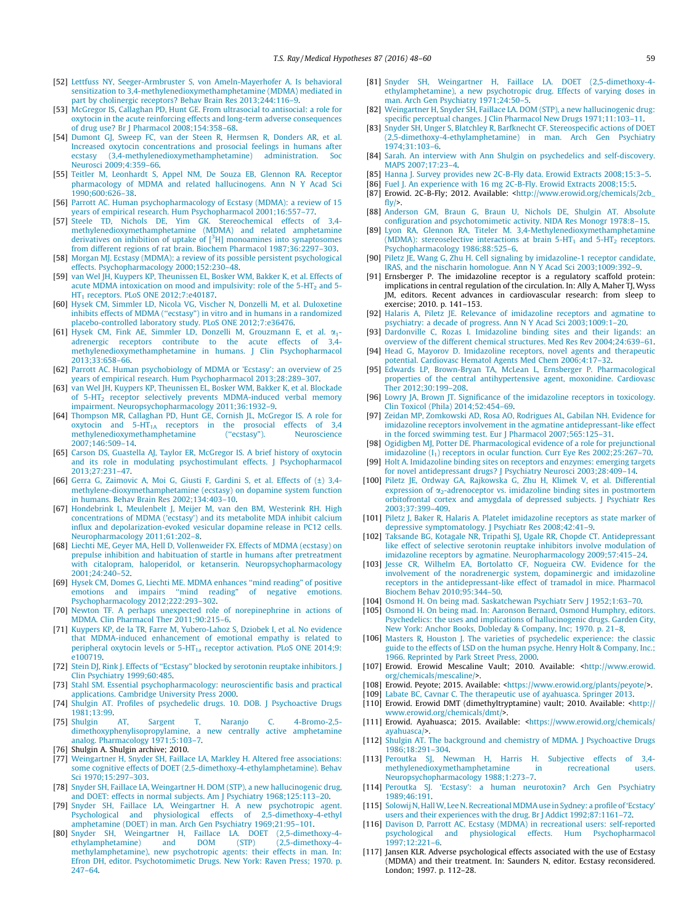- <span id="page-11-0"></span>[52] [Lettfuss NY, Seeger-Armbruster S, von Ameln-Mayerhofer A. Is behavioral](http://refhub.elsevier.com/S0306-9877(15)00472-7/h0260) [sensitization to 3,4-methylenedioxymethamphetamine \(MDMA\) mediated in](http://refhub.elsevier.com/S0306-9877(15)00472-7/h0260) [part by cholinergic receptors? Behav Brain Res 2013;244:116–9](http://refhub.elsevier.com/S0306-9877(15)00472-7/h0260).
- [53] [McGregor IS, Callaghan PD, Hunt GE. From ultrasocial to antisocial: a role for](http://refhub.elsevier.com/S0306-9877(15)00472-7/h0265) [oxytocin in the acute reinforcing effects and long-term adverse consequences](http://refhub.elsevier.com/S0306-9877(15)00472-7/h0265) [of drug use? Br J Pharmacol 2008;154:358–68.](http://refhub.elsevier.com/S0306-9877(15)00472-7/h0265)
- [54] [Dumont GJ, Sweep FC, van der Steen R, Hermsen R, Donders AR, et al.](http://refhub.elsevier.com/S0306-9877(15)00472-7/h0270) [Increased oxytocin concentrations and prosocial feelings in humans after](http://refhub.elsevier.com/S0306-9877(15)00472-7/h0270) [ecstasy \(3,4-methylenedioxymethamphetamine\) administration. Soc](http://refhub.elsevier.com/S0306-9877(15)00472-7/h0270) [Neurosci 2009;4:359–66.](http://refhub.elsevier.com/S0306-9877(15)00472-7/h0270)
- [55] [Teitler M, Leonhardt S, Appel NM, De Souza EB, Glennon RA. Receptor](http://refhub.elsevier.com/S0306-9877(15)00472-7/h0275) [pharmacology of MDMA and related hallucinogens. Ann N Y Acad Sci](http://refhub.elsevier.com/S0306-9877(15)00472-7/h0275) [1990;600:626–38](http://refhub.elsevier.com/S0306-9877(15)00472-7/h0275).
- [56] [Parrott AC. Human psychopharmacology of Ecstasy \(MDMA\): a review of 15](http://refhub.elsevier.com/S0306-9877(15)00472-7/h0280) [years of empirical research. Hum Psychopharmacol 2001;16:557–77.](http://refhub.elsevier.com/S0306-9877(15)00472-7/h0280) [57] [Steele TD, Nichols DE, Yim GK. Stereochemical effects of 3,4-](http://refhub.elsevier.com/S0306-9877(15)00472-7/h0285)
- [methylenedioxymethamphetamine \(MDMA\) and related amphetamine](http://refhub.elsevier.com/S0306-9877(15)00472-7/h0285) [derivatives](http://refhub.elsevier.com/S0306-9877(15)00472-7/h0285) [on](http://refhub.elsevier.com/S0306-9877(15)00472-7/h0285) [inhibition](http://refhub.elsevier.com/S0306-9877(15)00472-7/h0285) [of](http://refhub.elsevier.com/S0306-9877(15)00472-7/h0285) [uptake](http://refhub.elsevier.com/S0306-9877(15)00472-7/h0285) of  $[3H]$  $[3H]$  monoamines into synaptosomes [from different regions of rat brain. Biochem Pharmacol 1987;36:2297–303](http://refhub.elsevier.com/S0306-9877(15)00472-7/h0285).
- [58] [Morgan MJ. Ecstasy \(MDMA\): a review of its possible persistent psychological](http://refhub.elsevier.com/S0306-9877(15)00472-7/h0290) [effects. Psychopharmacology 2000;152:230–48.](http://refhub.elsevier.com/S0306-9877(15)00472-7/h0290)
- [59] [van Wel JH, Kuypers KP, Theunissen EL, Bosker WM, Bakker K, et al. Effects of](http://refhub.elsevier.com/S0306-9877(15)00472-7/h0295) acute MDMA intoxication on mood and impulsivity: role of the  $5-HT<sub>2</sub>$  and  $5-HT<sub>2</sub>$ HT<sub>1</sub> [receptors. PLoS ONE 2012;7:e40187](http://refhub.elsevier.com/S0306-9877(15)00472-7/h0295).
- [60] [Hysek CM, Simmler LD, Nicola VG, Vischer N, Donzelli M, et al. Duloxetine](http://refhub.elsevier.com/S0306-9877(15)00472-7/h0300) [inhibits effects of MDMA \(''ecstasy](http://refhub.elsevier.com/S0306-9877(15)00472-7/h0300)"[\) in vitro and in humans in a randomized](http://refhub.elsevier.com/S0306-9877(15)00472-7/h0300) [placebo-controlled laboratory study. PLoS ONE 2012;7:e36476.](http://refhub.elsevier.com/S0306-9877(15)00472-7/h0300)
- [61] [Hysek CM, Fink AE, Simmler LD, Donzelli M, Grouzmann E, et al.](http://refhub.elsevier.com/S0306-9877(15)00472-7/h0305)  $\alpha_1$  [adrenergic receptors contribute to the acute effects of 3,4](http://refhub.elsevier.com/S0306-9877(15)00472-7/h0305) [methylenedioxymethamphetamine in humans. J Clin Psychopharmacol](http://refhub.elsevier.com/S0306-9877(15)00472-7/h0305) [2013;33:658–66.](http://refhub.elsevier.com/S0306-9877(15)00472-7/h0305)
- [62] [Parrott AC. Human psychobiology of MDMA or 'Ecstasy': an overview of 25](http://refhub.elsevier.com/S0306-9877(15)00472-7/h0310) [years of empirical research. Hum Psychopharmacol 2013;28:289–307.](http://refhub.elsevier.com/S0306-9877(15)00472-7/h0310)
- [63] [van Wel JH, Kuypers KP, Theunissen EL, Bosker WM, Bakker K, et al. Blockade](http://refhub.elsevier.com/S0306-9877(15)00472-7/h0315) of  $5-\text{HT}_2$  [receptor selectively prevents MDMA-induced verbal memory](http://refhub.elsevier.com/S0306-9877(15)00472-7/h0315) [impairment. Neuropsychopharmacology 2011;36:1932–9](http://refhub.elsevier.com/S0306-9877(15)00472-7/h0315).
- [64] [Thompson MR, Callaghan PD, Hunt GE, Cornish JL, McGregor IS. A role for](http://refhub.elsevier.com/S0306-9877(15)00472-7/h0320) oxytocin and  $5-H\tilde{T}_{1A}$  [receptors in the prosocial effects of 3,4](http://refhub.elsevier.com/S0306-9877(15)00472-7/h0320) methylenedioxymethamphetamine ("ecstasy"). Neuroscience  $m$ ethylenedioxymethamphetamine [2007;146:509–14](http://refhub.elsevier.com/S0306-9877(15)00472-7/h0320).
- [65] [Carson DS, Guastella AJ, Taylor ER, McGregor IS. A brief history of oxytocin](http://refhub.elsevier.com/S0306-9877(15)00472-7/h0325) [and its role in modulating psychostimulant effects. J Psychopharmacol](http://refhub.elsevier.com/S0306-9877(15)00472-7/h0325) [2013;27:231–47.](http://refhub.elsevier.com/S0306-9877(15)00472-7/h0325)
- [66] [Gerra G, Zaimovic A, Moi G, Giusti F, Gardini S, et al. Effects of \(±\) 3,4](http://refhub.elsevier.com/S0306-9877(15)00472-7/h0330) [methylene-dioxymethamphetamine \(ecstasy\) on dopamine system function](http://refhub.elsevier.com/S0306-9877(15)00472-7/h0330) [in humans. Behav Brain Res 2002;134:403–10](http://refhub.elsevier.com/S0306-9877(15)00472-7/h0330).
- [67] [Hondebrink L, Meulenbelt J, Meijer M, van den BM, Westerink RH. High](http://refhub.elsevier.com/S0306-9877(15)00472-7/h0335) [concentrations of MDMA \('ecstasy'\) and its metabolite MDA inhibit calcium](http://refhub.elsevier.com/S0306-9877(15)00472-7/h0335) [influx and depolarization-evoked vesicular dopamine release in PC12 cells.](http://refhub.elsevier.com/S0306-9877(15)00472-7/h0335) [Neuropharmacology 2011;61:202–8](http://refhub.elsevier.com/S0306-9877(15)00472-7/h0335).
- [68] [Liechti ME, Geyer MA, Hell D, Vollenweider FX. Effects of MDMA \(ecstasy\) on](http://refhub.elsevier.com/S0306-9877(15)00472-7/h0340) [prepulse inhibition and habituation of startle in humans after pretreatment](http://refhub.elsevier.com/S0306-9877(15)00472-7/h0340) [with citalopram, haloperidol, or ketanserin. Neuropsychopharmacology](http://refhub.elsevier.com/S0306-9877(15)00472-7/h0340) [2001;24:240–52.](http://refhub.elsevier.com/S0306-9877(15)00472-7/h0340)
- [69] [Hysek CM, Domes G, Liechti ME. MDMA enhances ''mind reading" of positive](http://refhub.elsevier.com/S0306-9877(15)00472-7/h0345) [emotions and impairs ''mind reading](http://refhub.elsevier.com/S0306-9877(15)00472-7/h0345)" [of negative emotions.](http://refhub.elsevier.com/S0306-9877(15)00472-7/h0345) [Psychopharmacology 2012;222:293–302](http://refhub.elsevier.com/S0306-9877(15)00472-7/h0345).
- [70] [Newton TF. A perhaps unexpected role of norepinephrine in actions of](http://refhub.elsevier.com/S0306-9877(15)00472-7/h0350) [MDMA. Clin Pharmacol Ther 2011;90:215–6.](http://refhub.elsevier.com/S0306-9877(15)00472-7/h0350)
- [71] [Kuypers KP, de la TR, Farre M, Yubero-Lahoz S, Dziobek I, et al. No evidence](http://refhub.elsevier.com/S0306-9877(15)00472-7/h0355) [that MDMA-induced enhancement of emotional empathy is related to](http://refhub.elsevier.com/S0306-9877(15)00472-7/h0355) peripheral oxytocin levels or 5-HT<sub>1a</sub> [receptor activation. PLoS ONE 2014;9:](http://refhub.elsevier.com/S0306-9877(15)00472-7/h0355) [e100719](http://refhub.elsevier.com/S0306-9877(15)00472-7/h0355).
- [72] Stein DJ, Rink J. Effects of "Ecstasy" [blocked by serotonin reuptake inhibitors. J](http://refhub.elsevier.com/S0306-9877(15)00472-7/h0360) [Clin Psychiatry 1999;60:485.](http://refhub.elsevier.com/S0306-9877(15)00472-7/h0360)
- [73] [Stahl SM. Essential psychopharmacology: neuroscientific basis and practical](http://refhub.elsevier.com/S0306-9877(15)00472-7/h0365) [applications. Cambridge University Press 2000.](http://refhub.elsevier.com/S0306-9877(15)00472-7/h0365)
- [74] [Shulgin AT. Profiles of psychedelic drugs. 10. DOB. J Psychoactive Drugs](http://refhub.elsevier.com/S0306-9877(15)00472-7/h0370) [1981;13:99](http://refhub.elsevier.com/S0306-9877(15)00472-7/h0370).
- [75] [Shulgin AT, Sargent T, Naranjo C. 4-Bromo-2,5](http://refhub.elsevier.com/S0306-9877(15)00472-7/h0375) [dimethoxyphenylisopropylamine, a new centrally active amphetamine](http://refhub.elsevier.com/S0306-9877(15)00472-7/h0375) [analog. Pharmacology 1971;5:103–7.](http://refhub.elsevier.com/S0306-9877(15)00472-7/h0375)
- [76] Shulgin A. Shulgin archive; 2010.
- [77] [Weingartner H, Snyder SH, Faillace LA, Markley H. Altered free associations:](http://refhub.elsevier.com/S0306-9877(15)00472-7/h0385) [some cognitive effects of DOET \(2,5-dimethoxy-4-ethylamphetamine\). Behav](http://refhub.elsevier.com/S0306-9877(15)00472-7/h0385) [Sci 1970;15:297–303](http://refhub.elsevier.com/S0306-9877(15)00472-7/h0385).
- [78] [Snyder SH, Faillace LA, Weingartner H. DOM \(STP\), a new hallucinogenic drug,](http://refhub.elsevier.com/S0306-9877(15)00472-7/h0390) [and DOET: effects in normal subjects. Am J Psychiatry 1968;125:113–20](http://refhub.elsevier.com/S0306-9877(15)00472-7/h0390).
- [79] [Snyder SH, Faillace LA, Weingartner H. A new psychotropic agent.](http://refhub.elsevier.com/S0306-9877(15)00472-7/h0395) [Psychological and physiological effects of 2,5-dimethoxy-4-ethyl](http://refhub.elsevier.com/S0306-9877(15)00472-7/h0395) [amphetamine \(DOET\) in man. Arch Gen Psychiatry 1969;21:95–101.](http://refhub.elsevier.com/S0306-9877(15)00472-7/h0395)
- [80] [Snyder SH, Weingartner H, Faillace LA. DOET \(2,5-dimethoxy-4](http://refhub.elsevier.com/S0306-9877(15)00472-7/h0400) ethylamphetamine) [methylamphetamine\), new psychotropic agents: their effects in man. In:](http://refhub.elsevier.com/S0306-9877(15)00472-7/h0400) [Efron DH, editor. Psychotomimetic Drugs. New York: Raven Press; 1970. p.](http://refhub.elsevier.com/S0306-9877(15)00472-7/h0400) [247–64](http://refhub.elsevier.com/S0306-9877(15)00472-7/h0400).
- [81] [Snyder SH, Weingartner H, Faillace LA. DOET \(2,5-dimethoxy-4](http://refhub.elsevier.com/S0306-9877(15)00472-7/h0405) [ethylamphetamine\), a new psychotropic drug. Effects of varying doses in](http://refhub.elsevier.com/S0306-9877(15)00472-7/h0405) [man. Arch Gen Psychiatry 1971;24:50–5.](http://refhub.elsevier.com/S0306-9877(15)00472-7/h0405)
- [82] [Weingartner H, Snyder SH, Faillace LA. DOM \(STP\), a new hallucinogenic drug:](http://refhub.elsevier.com/S0306-9877(15)00472-7/h0410) [specific perceptual changes. J Clin Pharmacol New Drugs 1971;11:103–11](http://refhub.elsevier.com/S0306-9877(15)00472-7/h0410).
- [83] [Snyder SH, Unger S, Blatchley R, Barfknecht CF. Stereospecific actions of DOET](http://refhub.elsevier.com/S0306-9877(15)00472-7/h0415) [\(2,5-dimethoxy-4-ethylamphetamine\) in man. Arch Gen Psychiatry](http://refhub.elsevier.com/S0306-9877(15)00472-7/h0415) [1974;31:103–6.](http://refhub.elsevier.com/S0306-9877(15)00472-7/h0415)
- [84] [Sarah. An interview with Ann Shulgin on psychedelics and self-discovery.](http://refhub.elsevier.com/S0306-9877(15)00472-7/h0420) [MAPS 2007;17:23–4.](http://refhub.elsevier.com/S0306-9877(15)00472-7/h0420)
- [85] [Hanna J. Survey provides new 2C-B-Fly data. Erowid Extracts 2008;15:3–5.](http://refhub.elsevier.com/S0306-9877(15)00472-7/h0425)
- [86] [Fuel J. An experience with 16 mg 2C-B-Fly. Erowid Extracts 2008;15:5.](http://refhub.elsevier.com/S0306-9877(15)00472-7/h0430)
- [87] Erowid. 2C-B-Fly; 2012. Available: [<http://www.erowid.org/chemicals/2cb\\_](http://www.erowid.org/chemicals/2cb_fly/) fly $|>$ .
- [88] [Anderson GM, Braun G, Braun U, Nichols DE, Shulgin AT. Absolute](http://refhub.elsevier.com/S0306-9877(15)00472-7/h0440) [configuration and psychotomimetic activity. NIDA Res Monogr 1978:8–15](http://refhub.elsevier.com/S0306-9877(15)00472-7/h0440).
- [89] [Lyon RA, Glennon RA, Titeler M. 3,4-Methylenedioxymethamphetamine](http://refhub.elsevier.com/S0306-9877(15)00472-7/h0445) MDMA): stereoselective interactions at brain  $5-HT_1$  and  $5-HT_2$  [receptors.](http://refhub.elsevier.com/S0306-9877(15)00472-7/h0445) [Psychopharmacology 1986;88:525–6](http://refhub.elsevier.com/S0306-9877(15)00472-7/h0445).
- [90] [Piletz JE, Wang G, Zhu H. Cell signaling by imidazoline-1 receptor candidate,](http://refhub.elsevier.com/S0306-9877(15)00472-7/h0450) [IRAS, and the nischarin homologue. Ann N Y Acad Sci 2003;1009:392–9.](http://refhub.elsevier.com/S0306-9877(15)00472-7/h0450)
- [91] Ernsberger P. The imidazoline receptor is a regulatory scaffold protein: implications in central regulation of the circulation. In: Ally A, Maher TJ, Wyss JM, editors. Recent advances in cardiovascular research: from sleep to exercise; 2010. p. 141–153.
- [92] [Halaris A, Piletz JE. Relevance of imidazoline receptors and agmatine to](http://refhub.elsevier.com/S0306-9877(15)00472-7/h0460) [psychiatry: a decade of progress. Ann N Y Acad Sci 2003;1009:1–20.](http://refhub.elsevier.com/S0306-9877(15)00472-7/h0460)
- [93] [Dardonville C, Rozas I. Imidazoline binding sites and their ligands: an](http://refhub.elsevier.com/S0306-9877(15)00472-7/h0465) [overview of the different chemical structures. Med Res Rev 2004;24:639–61.](http://refhub.elsevier.com/S0306-9877(15)00472-7/h0465) [94] [Head G, Mayorov D. Imidazoline receptors, novel agents and therapeutic](http://refhub.elsevier.com/S0306-9877(15)00472-7/h0470)
- [potential. Cardiovasc Hematol Agents Med Chem 2006;4:17–32](http://refhub.elsevier.com/S0306-9877(15)00472-7/h0470). [95] [Edwards LP, Brown-Bryan TA, McLean L, Ernsberger P. Pharmacological](http://refhub.elsevier.com/S0306-9877(15)00472-7/h0475)
- [properties of the central antihypertensive agent, moxonidine. Cardiovasc](http://refhub.elsevier.com/S0306-9877(15)00472-7/h0475) [Ther 2012;30:199–208](http://refhub.elsevier.com/S0306-9877(15)00472-7/h0475).
- [96] [Lowry JA, Brown JT. Significance of the imidazoline receptors in toxicology.](http://refhub.elsevier.com/S0306-9877(15)00472-7/h0480) [Clin Toxicol \(Phila\) 2014;52:454–69.](http://refhub.elsevier.com/S0306-9877(15)00472-7/h0480)
- [97] [Zeidan MP, Zomkowski AD, Rosa AO, Rodrigues AL, Gabilan NH. Evidence for](http://refhub.elsevier.com/S0306-9877(15)00472-7/h0485) [imidazoline receptors involvement in the agmatine antidepressant-like effect](http://refhub.elsevier.com/S0306-9877(15)00472-7/h0485) [in the forced swimming test. Eur J Pharmacol 2007;565:125–31](http://refhub.elsevier.com/S0306-9877(15)00472-7/h0485).
- [98] [Ogidigben MJ, Potter DE. Pharmacological evidence of a role for prejunctional](http://refhub.elsevier.com/S0306-9877(15)00472-7/h0490) imidazoline  $(I_1)$  receptors in ocular function. Curr Eye Res 2002;25:267-70.
- [99] [Holt A. Imidazoline binding sites on receptors and enzymes: emerging targets](http://refhub.elsevier.com/S0306-9877(15)00472-7/h0495) [for novel antidepressant drugs? J Psychiatry Neurosci 2003;28:409–14.](http://refhub.elsevier.com/S0306-9877(15)00472-7/h0495)
- [100] [Piletz JE, Ordway GA, Rajkowska G, Zhu H, Klimek V, et al. Differential](http://refhub.elsevier.com/S0306-9877(15)00472-7/h0500) [expression of](http://refhub.elsevier.com/S0306-9877(15)00472-7/h0500)  $\alpha_2$ -adrenoceptor vs. imidazoline binding sites in postmortem [orbitofrontal cortex and amygdala of depressed subjects. J Psychiatr Res](http://refhub.elsevier.com/S0306-9877(15)00472-7/h0500) [2003;37:399–409.](http://refhub.elsevier.com/S0306-9877(15)00472-7/h0500)
- [101] [Piletz J, Baker R, Halaris A. Platelet imidazoline receptors as state marker of](http://refhub.elsevier.com/S0306-9877(15)00472-7/h0505) [depressive symptomatology. J Psychiatr Res 2008;42:41–9](http://refhub.elsevier.com/S0306-9877(15)00472-7/h0505).
- [102] [Taksande BG, Kotagale NR, Tripathi SJ, Ugale RR, Chopde CT. Antidepressant](http://refhub.elsevier.com/S0306-9877(15)00472-7/h0510) [like effect of selective serotonin reuptake inhibitors involve modulation of](http://refhub.elsevier.com/S0306-9877(15)00472-7/h0510) [imidazoline receptors by agmatine. Neuropharmacology 2009;57:415–24](http://refhub.elsevier.com/S0306-9877(15)00472-7/h0510).
- [103] [Jesse CR, Wilhelm EA, Bortolatto CF, Nogueira CW. Evidence for the](http://refhub.elsevier.com/S0306-9877(15)00472-7/h0515) [involvement of the noradrenergic system, dopaminergic and imidazoline](http://refhub.elsevier.com/S0306-9877(15)00472-7/h0515) [receptors in the antidepressant-like effect of tramadol in mice. Pharmacol](http://refhub.elsevier.com/S0306-9877(15)00472-7/h0515) [Biochem Behav 2010;95:344–50.](http://refhub.elsevier.com/S0306-9877(15)00472-7/h0515)
- [104] [Osmond H. On being mad. Saskatchewan Psychiatr Serv J 1952;1:63–70](http://refhub.elsevier.com/S0306-9877(15)00472-7/h0520).
- [105] [Osmond H. On being mad. In: Aaronson Bernard, Osmond Humphry, editors.](http://refhub.elsevier.com/S0306-9877(15)00472-7/h0525) [Psychedelics: the uses and implications of hallucinogenic drugs. Garden City,](http://refhub.elsevier.com/S0306-9877(15)00472-7/h0525) [New York: Anchor Books, Dobleday & Company, Inc; 1970. p. 21–8](http://refhub.elsevier.com/S0306-9877(15)00472-7/h0525).
- [106] [Masters R, Houston J. The varieties of psychedelic experience: the classic](http://refhub.elsevier.com/S0306-9877(15)00472-7/h0530) [guide to the effects of LSD on the human psyche. Henry Holt & Company, Inc.;](http://refhub.elsevier.com/S0306-9877(15)00472-7/h0530) [1966. Reprinted by Park Street Press, 2000.](http://refhub.elsevier.com/S0306-9877(15)00472-7/h0530)
- [107] Erowid. Erowid Mescaline Vault; 2010. Available: <[http://www.erowid.](http://www.erowid.org/chemicals/mescaline/) [org/chemicals/mescaline/>](http://www.erowid.org/chemicals/mescaline/).
- [108] Erowid. Peyote; 2015. Available: [<https://www.erowid.org/plants/peyote/](https://www.erowid.org/plants/peyote/)>.
- [109] [Labate BC, Cavnar C. The therapeutic use of ayahuasca. Springer 2013](http://refhub.elsevier.com/S0306-9877(15)00472-7/h0545).
- [110] Erowid. Erowid DMT (dimethyltryptamine) vault; 2010. Available: <[http://](http://www.erowid.org/chemicals/dmt/) [www.erowid.org/chemicals/dmt/](http://www.erowid.org/chemicals/dmt/)>. [111] Erowid. Ayahuasca; 2015. Available: [<https://www.erowid.org/chemicals/](https://www.erowid.org/chemicals/ayahuasca/)
- [ayahuasca/](https://www.erowid.org/chemicals/ayahuasca/)>.
- [112] [Shulgin AT. The background and chemistry of MDMA. J Psychoactive Drugs](http://refhub.elsevier.com/S0306-9877(15)00472-7/h0560) [1986;18:291–304](http://refhub.elsevier.com/S0306-9877(15)00472-7/h0560).
- [113] [Peroutka SJ, Newman H, Harris H. Subjective effects of 3,4](http://refhub.elsevier.com/S0306-9877(15)00472-7/h0565) [methylenedioxymethamphetamine in recreational users.](http://refhub.elsevier.com/S0306-9877(15)00472-7/h0565) [Neuropsychopharmacology 1988;1:273–7.](http://refhub.elsevier.com/S0306-9877(15)00472-7/h0565)
- [114] [Peroutka SJ. 'Ecstasy': a human neurotoxin? Arch Gen Psychiatry](http://refhub.elsevier.com/S0306-9877(15)00472-7/h0570) [1989;46:191.](http://refhub.elsevier.com/S0306-9877(15)00472-7/h0570)
- [115] [Solowij N, HallW, Lee N. Recreational MDMA use in Sydney: a profile of 'Ecstacy'](http://refhub.elsevier.com/S0306-9877(15)00472-7/h0575) [users and their experiences with the drug. Br J Addict 1992;87:1161–72](http://refhub.elsevier.com/S0306-9877(15)00472-7/h0575).
- [116] [Davison D, Parrott AC. Ecstasy \(MDMA\) in recreational users: self-reported](http://refhub.elsevier.com/S0306-9877(15)00472-7/h0580) [psychological and physiological effects. Hum Psychopharmacol](http://refhub.elsevier.com/S0306-9877(15)00472-7/h0580)  $1997:12:221-6$
- [117] Jansen KLR. Adverse psychological effects associated with the use of Ecstasy (MDMA) and their treatment. In: Saunders N, editor. Ecstasy reconsidered. London; 1997. p. 112–28.